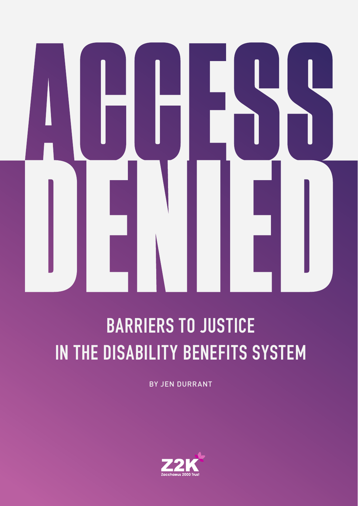### **BARRIERS TO JUSTICE IN THE DISABILITY BENEFITS SYSTEM**

BY JEN DURRANT

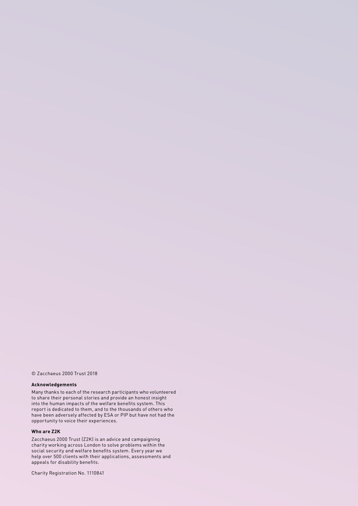#### © Zacchaeus 2000 Trust 2018

#### **Acknowledgements**

Many thanks to each of the research participants who volunteered to share their personal stories and provide an honest insight into the human impacts of the welfare benefits system. This report is dedicated to them, and to the thousands of others who have been adversely affected by ESA or PIP but have not had the opportunity to voice their experiences.

#### **Who are Z2K**

Zacchaeus 2000 Trust (Z2K) is an advice and campaigning charity working across London to solve problems within the social security and welfare benefits system. Every year we help over 500 clients with their applications, assessments and appeals for disability benefits.

Charity Registration No. 1110841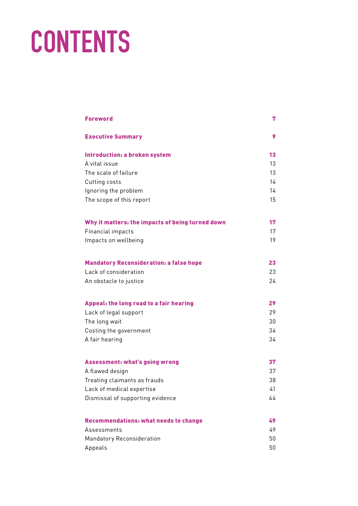## **CONTENTS**

| <b>Foreword</b>                                  | 7  |
|--------------------------------------------------|----|
| <b>Executive Summary</b>                         | 9  |
| Introduction: a broken system                    | 13 |
| A vital issue                                    | 13 |
| The scale of failure                             | 13 |
| Cutting costs                                    | 14 |
| Ignoring the problem                             | 14 |
| The scope of this report                         | 15 |
| Why it matters: the impacts of being turned down | 17 |
| Financial impacts                                | 17 |
| Impacts on wellbeing                             | 19 |
| <b>Mandatory Reconsideration: a false hope</b>   | 23 |
| Lack of consideration                            | 23 |
| An obstacle to justice                           | 24 |
| Appeal: the long road to a fair hearing          | 29 |
| Lack of legal support                            | 29 |
| The long wait                                    | 30 |
| Costing the government                           | 34 |
| A fair hearing                                   | 34 |
| <b>Assessment: what's going wrong</b>            | 37 |
| A flawed design                                  | 37 |
| Treating claimants as frauds                     | 38 |
| Lack of medical expertise                        | 41 |
| Dismissal of supporting evidence                 | 44 |
| <b>Recommendations: what needs to change</b>     | 49 |
| Assessments                                      | 49 |
| Mandatory Reconsideration                        | 50 |
| Appeals                                          | 50 |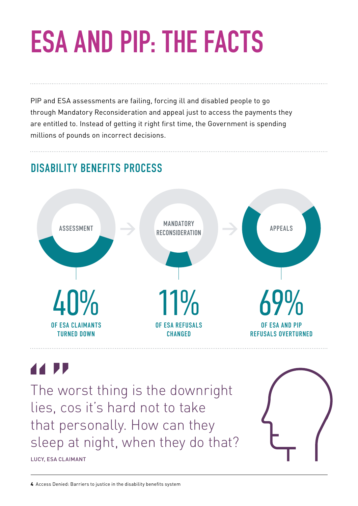# **ESA AND PIP: THE FACTS**

PIP and ESA assessments are failing, forcing ill and disabled people to go through Mandatory Reconsideration and appeal just to access the payments they are entitled to. Instead of getting it right first time, the Government is spending millions of pounds on incorrect decisions.

### DISABILITY BENEFITS PROCESS



### 44 PP

LUCY, ESA CLAIMANT

The worst thing is the downright lies, cos it's hard not to take that personally. How can they sleep at night, when they do that?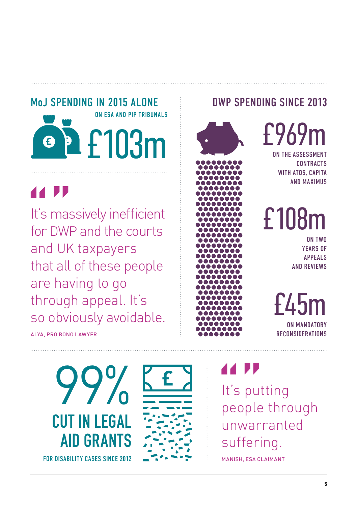### MoJ SPENDING IN 2015 ALONE DWP SPENDING SINCE 2013 ON ESA AND PIP TRIBUNALS£103m G

It's massively inefficient for DWP and the courts and UK taxpayers that all of these people are having to go through appeal. It's so obviously avoidable.

ALYA, PRO BONO LAWYER









£969m

ON THE ASSESSMEN **CONTRACTS** WITH ATOS, CAPITA AND MAXIMUS

£108m

ON TWO YEARS OF APPEALS AND REVIEWS

 $f/45$ ON MANDATORY RECONSIDERATIONS

It's putting people through unwarranted suffering.

MANISH, ESA CLAIMANT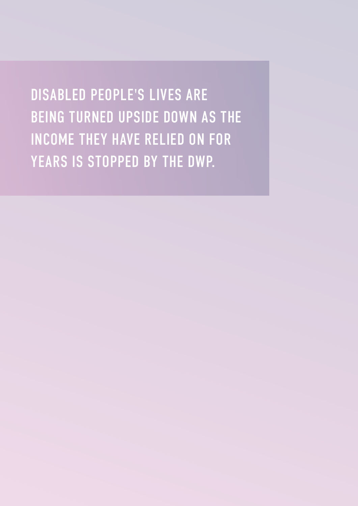DISABLED PEOPLE'S LIVES ARE BEING TURNED UPSIDE DOWN AS THE INCOME THEY HAVE RELIED ON FOR YEARS IS STOPPED BY THE DWP.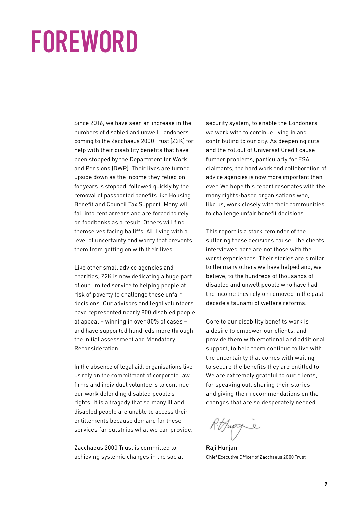## **FOREWORD**

Since 2016, we have seen an increase in the numbers of disabled and unwell Londoners coming to the Zacchaeus 2000 Trust (Z2K) for help with their disability benefits that have been stopped by the Department for Work and Pensions (DWP). Their lives are turned upside down as the income they relied on for years is stopped, followed quickly by the removal of passported benefits like Housing Benefit and Council Tax Support. Many will fall into rent arrears and are forced to rely on foodbanks as a result. Others will find themselves facing bailiffs. All living with a level of uncertainty and worry that prevents them from getting on with their lives.

Like other small advice agencies and charities, Z2K is now dedicating a huge part of our limited service to helping people at risk of poverty to challenge these unfair decisions. Our advisors and legal volunteers have represented nearly 800 disabled people at appeal – winning in over 80% of cases – and have supported hundreds more through the initial assessment and Mandatory Reconsideration.

In the absence of legal aid, organisations like us rely on the commitment of corporate law firms and individual volunteers to continue our work defending disabled people's rights. It is a tragedy that so many ill and disabled people are unable to access their entitlements because demand for these services far outstrips what we can provide.

Zacchaeus 2000 Trust is committed to achieving systemic changes in the social

security system, to enable the Londoners we work with to continue living in and contributing to our city. As deepening cuts and the rollout of Universal Credit cause further problems, particularly for ESA claimants, the hard work and collaboration of advice agencies is now more important than ever. We hope this report resonates with the many rights-based organisations who, like us, work closely with their communities to challenge unfair benefit decisions.

This report is a stark reminder of the suffering these decisions cause. The clients interviewed here are not those with the worst experiences. Their stories are similar to the many others we have helped and, we believe, to the hundreds of thousands of disabled and unwell people who have had the income they rely on removed in the past decade's tsunami of welfare reforms.

Core to our disability benefits work is a desire to empower our clients, and provide them with emotional and additional support, to help them continue to live with the uncertainty that comes with waiting to secure the benefits they are entitled to. We are extremely grateful to our clients, for speaking out, sharing their stories and giving their recommendations on the changes that are so desperately needed.

R. Huggie

Raji Hunjan Chief Executive Officer of Zacchaeus 2000 Trust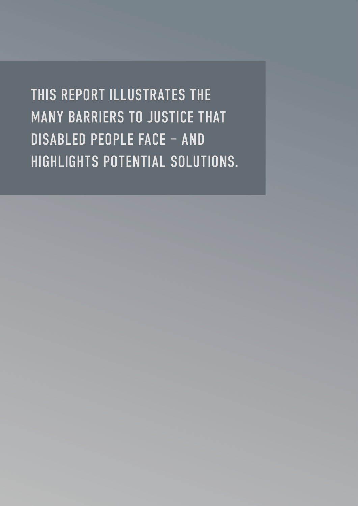THIS REPORT ILLUSTRATES THE MANY BARRIERS TO JUSTICE THAT DISABLED PEOPLE FACE – AND HIGHLIGHTS POTENTIAL SOLUTIONS.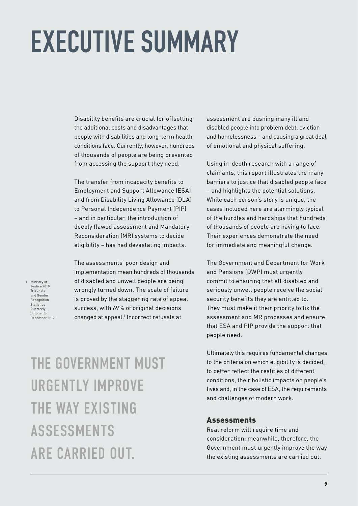# **EXECUTIVE SUMMARY**

Disability benefits are crucial for offsetting the additional costs and disadvantages that people with disabilities and long-term health conditions face. Currently, however, hundreds of thousands of people are being prevented from accessing the support they need.

The transfer from incapacity benefits to Employment and Support Allowance (ESA) and from Disability Living Allowance (DLA) to Personal Independence Payment (PIP) – and in particular, the introduction of deeply flawed assessment and Mandatory Reconsideration (MR) systems to decide eligibility – has had devastating impacts.

1 Ministry of Justice 2018, Tribunals and Gender Recognition **Statistics** Quarterly, October to December 2017 The assessments' poor design and implementation mean hundreds of thousands of disabled and unwell people are being wrongly turned down. The scale of failure is proved by the staggering rate of appeal success, with 69% of original decisions changed at appeal.<sup>1</sup> Incorrect refusals at

assessment are pushing many ill and disabled people into problem debt, eviction and homelessness – and causing a great deal of emotional and physical suffering.

Using in-depth research with a range of claimants, this report illustrates the many barriers to justice that disabled people face – and highlights the potential solutions. While each person's story is unique, the cases included here are alarmingly typical of the hurdles and hardships that hundreds of thousands of people are having to face. Their experiences demonstrate the need for immediate and meaningful change.

The Government and Department for Work and Pensions (DWP) must urgently commit to ensuring that all disabled and seriously unwell people receive the social security benefits they are entitled to. They must make it their priority to fix the assessment and MR processes and ensure that ESA and PIP provide the support that people need.

Ultimately this requires fundamental changes to the criteria on which eligibility is decided, to better reflect the realities of different conditions, their holistic impacts on people's lives and, in the case of ESA, the requirements and challenges of modern work.

### THE GOVERNMENT MUST URGENTLY IMPROVE THE WAY EXISTING ASSESSMENTS ARE CARRIED OUT.

#### Assessments

Real reform will require time and consideration; meanwhile, therefore, the Government must urgently improve the way the existing assessments are carried out.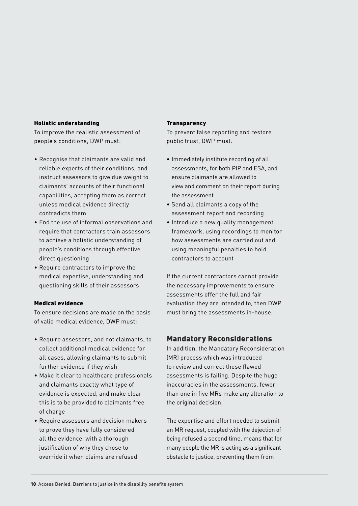#### Holistic understanding

To improve the realistic assessment of people's conditions, DWP must:

- Recognise that claimants are valid and reliable experts of their conditions, and instruct assessors to give due weight to claimants' accounts of their functional capabilities, accepting them as correct unless medical evidence directly contradicts them
- End the use of informal observations and require that contractors train assessors to achieve a holistic understanding of people's conditions through effective direct questioning
- Require contractors to improve the medical expertise, understanding and questioning skills of their assessors

#### Medical evidence

To ensure decisions are made on the basis of valid medical evidence, DWP must:

- Require assessors, and not claimants, to collect additional medical evidence for all cases, allowing claimants to submit further evidence if they wish
- Make it clear to healthcare professionals and claimants exactly what type of evidence is expected, and make clear this is to be provided to claimants free of charge
- Require assessors and decision makers to prove they have fully considered all the evidence, with a thorough justification of why they chose to override it when claims are refused

#### **Transparency**

To prevent false reporting and restore public trust, DWP must:

- Immediately institute recording of all assessments, for both PIP and ESA, and ensure claimants are allowed to view and comment on their report during the assessment
- Send all claimants a copy of the assessment report and recording
- Introduce a new quality management framework, using recordings to monitor how assessments are carried out and using meaningful penalties to hold contractors to account

If the current contractors cannot provide the necessary improvements to ensure assessments offer the full and fair evaluation they are intended to, then DWP must bring the assessments in-house.

#### Mandatory Reconsiderations

In addition, the Mandatory Reconsideration (MR) process which was introduced to review and correct these flawed assessments is failing. Despite the huge inaccuracies in the assessments, fewer than one in five MRs make any alteration to the original decision.

The expertise and effort needed to submit an MR request, coupled with the dejection of being refused a second time, means that for many people the MR is acting as a significant obstacle to justice, preventing them from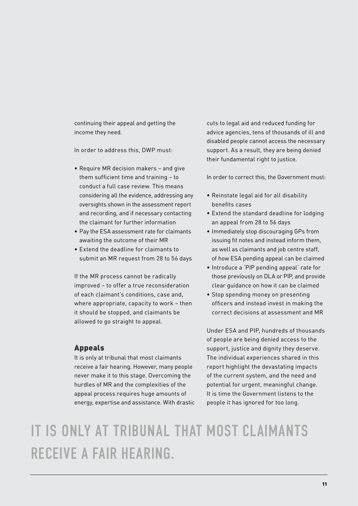continuing their appeal and getting the income they need.

In order to address this, DWP must:

- Require MR decision makers and give them sufficient time and training – to conduct a full case review. This means considering all the evidence, addressing any oversights shown in the assessment report and recording, and if necessary contacting the claimant for further information
- Pay the ESA assessment rate for claimants awaiting the outcome of their MR
- Extend the deadline for claimants to submit an MR request from 28 to 56 days

If the MR process cannot be radically improved – to offer a true reconsideration of each claimant's conditions, case and, where appropriate, capacity to work – then it should be stopped, and claimants be allowed to go straight to appeal.

#### Appeals

It is only at tribunal that most claimants receive a fair hearing. However, many people never make it to this stage. Overcoming the hurdles of MR and the complexities of the appeal process requires huge amounts of energy, expertise and assistance. With drastic cuts to legal aid and reduced funding for advice agencies, tens of thousands of ill and disabled people cannot access the necessary support. As a result, they are being denied their fundamental right to justice.

In order to correct this, the Government must:

- Reinstate legal aid for all disability benefits cases
- Extend the standard deadline for lodging an appeal from 28 to 56 days
- Immediately stop discouraging GPs from issuing fit notes and instead inform them, as well as claimants and job centre staff, of how ESA pending appeal can be claimed
- Introduce a 'PIP pending appeal' rate for those previously on DLA or PIP, and provide clear guidance on how it can be claimed
- Stop spending money on presenting officers and instead invest in making the correct decisions at assessment and MR

Under ESA and PIP, hundreds of thousands of people are being denied access to the support, justice and dignity they deserve. The individual experiences shared in this report highlight the devastating impacts of the current system, and the need and potential for urgent, meaningful change. It is time the Government listens to the people it has ignored for too long.

### IT IS ONLY AT TRIBUNAL THAT MOST CLAIMANTS RECEIVE A FAIR HEARING.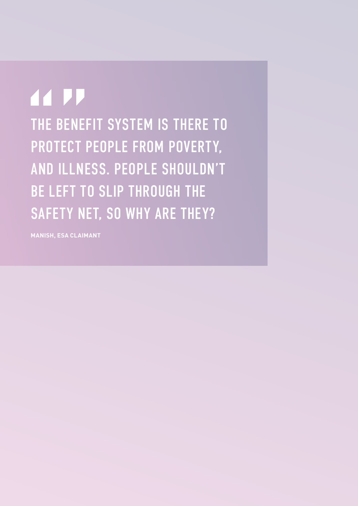**44 PP** THE BENEFIT SYSTEM IS THERE TO PROTECT PEOPLE FROM POVERTY, AND ILLNESS. PEOPLE SHOULDN'T BE LEFT TO SLIP THROUGH THE SAFETY NET, SO WHY ARE THEY?

**MANISH, ESA CLAIMANT**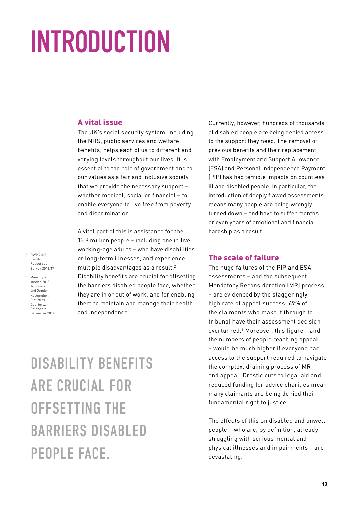# **INTRODUCTION**

#### A vital issue

The UK's social security system, including the NHS, public services and welfare benefits, helps each of us to different and varying levels throughout our lives. It is essential to the role of government and to our values as a fair and inclusive society that we provide the necessary support – whether medical, social or financial – to enable everyone to live free from poverty and discrimination.

A vital part of this is assistance for the 13.9 million people – including one in five working-age adults – who have disabilities or long-term illnesses, and experience multiple disadvantages as a result.2 Disability benefits are crucial for offsetting the barriers disabled people face, whether they are in or out of work, and for enabling them to maintain and manage their health and independence.

Currently, however, hundreds of thousands of disabled people are being denied access to the support they need. The removal of previous benefits and their replacement with Employment and Support Allowance (ESA) and Personal Independence Payment (PIP) has had terrible impacts on countless ill and disabled people. In particular, the introduction of deeply flawed assessments means many people are being wrongly turned down – and have to suffer months or even years of emotional and financial hardship as a result.

#### The scale of failure

The huge failures of the PIP and ESA assessments – and the subsequent Mandatory Reconsideration (MR) process – are evidenced by the staggeringly high rate of appeal success: 69% of the claimants who make it through to tribunal have their assessment decision overturned.3 Moreover, this figure – and the numbers of people reaching appeal – would be much higher if everyone had access to the support required to navigate the complex, draining process of MR and appeal. Drastic cuts to legal aid and reduced funding for advice charities mean many claimants are being denied their fundamental right to justice.

The effects of this on disabled and unwell people – who are, by definition, already struggling with serious mental and physical illnesses and impairments – are devastating.

- 2 DWP 2018, Family Resources Survey 2016/17
- 3 Ministry of Justice 2018, Tribunals and Gender Recognition Statistics Quarterly, October to December 2017

DISABILITY BENEFITS ARE CRUCIAL FOR OFFSETTING THE BARRIERS DISABLED PEOPLE FACE.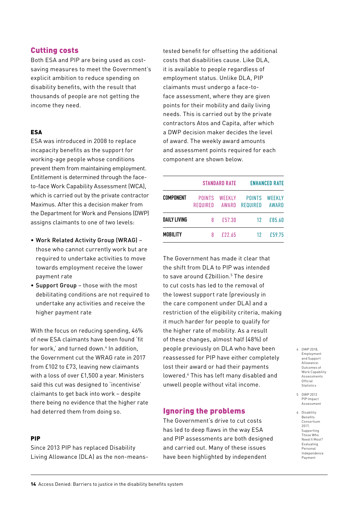#### Cutting costs

Both ESA and PIP are being used as costsaving measures to meet the Government's explicit ambition to reduce spending on disability benefits, with the result that thousands of people are not getting the income they need.

#### ESA

ESA was introduced in 2008 to replace incapacity benefits as the support for working-age people whose conditions prevent them from maintaining employment. Entitlement is determined through the faceto-face Work Capability Assessment (WCA), which is carried out by the private contractor Maximus. After this a decision maker from the Department for Work and Pensions (DWP) assigns claimants to one of two levels:

- Work Related Activity Group (WRAG) those who cannot currently work but are required to undertake activities to move towards employment receive the lower payment rate
- Support Group those with the most debilitating conditions are not required to undertake any activities and receive the higher payment rate

With the focus on reducing spending, 46% of new ESA claimants have been found 'fit for work,' and turned down.<sup>4</sup> In addition, the Government cut the WRAG rate in 2017 from £102 to £73, leaving new claimants with a loss of over £1,500 a year. Ministers said this cut was designed to 'incentivise' claimants to get back into work – despite there being no evidence that the higher rate had deterred them from doing so.

#### PIP

Since 2013 PIP has replaced Disability Living Allowance (DLA) as the non-meanstested benefit for offsetting the additional costs that disabilities cause. Like DLA, it is available to people regardless of employment status. Unlike DLA, PIP claimants must undergo a face-toface assessment, where they are given points for their mobility and daily living needs. This is carried out by the private contractors Atos and Capita, after which a DWP decision maker decides the level of award. The weekly award amounts and assessment points required for each component are shown below.

|                     |                           | <b><i>STANDARD RATE</i></b>   | <b>ENHANCED RATE</b>             |                        |
|---------------------|---------------------------|-------------------------------|----------------------------------|------------------------|
| <b>COMPONENT</b>    | POINTS<br><b>REQUIRED</b> | <b>WEEKLY</b><br><b>AWARD</b> | <b>POINTS</b><br><b>REQUIRED</b> | WEEKLY<br><b>AWARD</b> |
| <b>DAILY LIVING</b> | Я                         | £57.30                        | 12                               | £85.60                 |
| <b>MOBILITY</b>     | 8                         | £22.65                        | 12                               | £59.75                 |

The Government has made it clear that the shift from DLA to PIP was intended to save around £2billion.<sup>5</sup> The desire to cut costs has led to the removal of the lowest support rate (previously in the care component under DLA) and a restriction of the eligibility criteria, making it much harder for people to qualify for the higher rate of mobility. As a result of these changes, almost half (48%) of people previously on DLA who have been reassessed for PIP have either completely lost their award or had their payments lowered.<sup>6</sup> This has left many disabled and unwell people without vital income.

#### Ignoring the problems

The Government's drive to cut costs has led to deep flaws in the way ESA and PIP assessments are both designed and carried out. Many of these issues have been highlighted by independent

4 DWP 2018, Employment and Support Allowance: Outcomes of Work Canability Assessments Official Statistics

5 DWP 2012 PIP Impact Assessment

6 Disability Benefits Consortium 2017, Supporting Those Who Need It Most? Evaluating Personal Independence Payment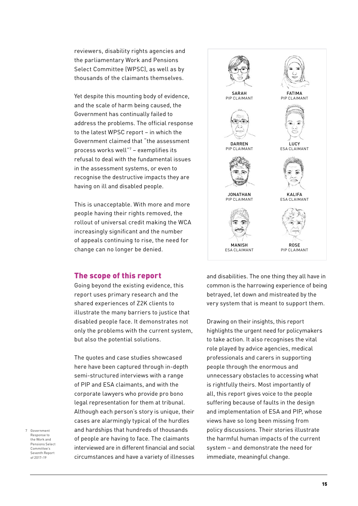reviewers, disability rights agencies and the parliamentary Work and Pensions Select Committee (WPSC), as well as by thousands of the claimants themselves.

Yet despite this mounting body of evidence, and the scale of harm being caused, the Government has continually failed to address the problems. The official response to the latest WPSC report – in which the Government claimed that "the assessment process works well"7 – exemplifies its refusal to deal with the fundamental issues in the assessment systems, or even to recognise the destructive impacts they are having on ill and disabled people.

This is unacceptable. With more and more people having their rights removed, the rollout of universal credit making the WCA increasingly significant and the number of appeals continuing to rise, the need for change can no longer be denied.

#### The scope of this report

Going beyond the existing evidence, this report uses primary research and the shared experiences of Z2K clients to illustrate the many barriers to justice that disabled people face. It demonstrates not only the problems with the current system, but also the potential solutions.

The quotes and case studies showcased here have been captured through in-depth semi-structured interviews with a range of PIP and ESA claimants, and with the corporate lawyers who provide pro bono legal representation for them at tribunal. Although each person's story is unique, their cases are alarmingly typical of the hurdles and hardships that hundreds of thousands of people are having to face. The claimants interviewed are in different financial and social circumstances and have a variety of illnesses





and disabilities. The one thing they all have in common is the harrowing experience of being betrayed, let down and mistreated by the very system that is meant to support them.

Drawing on their insights, this report highlights the urgent need for policymakers to take action. It also recognises the vital role played by advice agencies, medical professionals and carers in supporting people through the enormous and unnecessary obstacles to accessing what is rightfully theirs. Most importantly of all, this report gives voice to the people suffering because of faults in the design and implementation of ESA and PIP, whose views have so long been missing from policy discussions. Their stories illustrate the harmful human impacts of the current system – and demonstrate the need for immediate, meaningful change.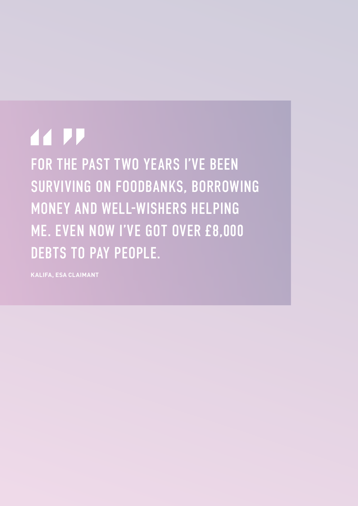## **44 PP**

FOR THE PAST TWO YEARS I'VE BEEN SURVIVING ON FOODBANKS, BORROWING MONEY AND WELL-WISHERS HELPING ME. EVEN NOW I'VE GOT OVER £8,000 DEBTS TO PAY PEOPLE.

**KALIFA, ESA CLAIMANT**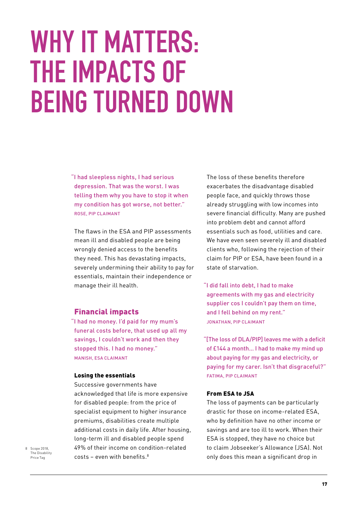## **WHY IT MATTERS: THE IMPACTS OF BEING TURNED DOWN**

"I had sleepless nights, I had serious depression. That was the worst. I was telling them why you have to stop it when my condition has got worse, not better." ROSE, PIP CLAIMANT

The flaws in the ESA and PIP assessments mean ill and disabled people are being wrongly denied access to the benefits they need. This has devastating impacts, severely undermining their ability to pay for essentials, maintain their independence or manage their ill health.

#### Financial impacts

"I had no money. I'd paid for my mum's funeral costs before, that used up all my savings, I couldn't work and then they stopped this. I had no money." MANISH, ESA CLAIMANT

#### Losing the essentials

Successive governments have acknowledged that life is more expensive for disabled people: from the price of specialist equipment to higher insurance premiums, disabilities create multiple additional costs in daily life. After housing, long-term ill and disabled people spend 49% of their income on condition-related  $costs - even$  with benefits.<sup>8</sup>

The loss of these benefits therefore exacerbates the disadvantage disabled people face, and quickly throws those already struggling with low incomes into severe financial difficulty. Many are pushed into problem debt and cannot afford essentials such as food, utilities and care. We have even seen severely ill and disabled clients who, following the rejection of their claim for PIP or ESA, have been found in a state of starvation.

"I did fall into debt, I had to make agreements with my gas and electricity supplier cos I couldn't pay them on time, and I fell behind on my rent." JONATHAN, PIP CLAIMANT

"[The loss of DLA/PIP] leaves me with a deficit of £144 a month… I had to make my mind up about paying for my gas and electricity, or paying for my carer. Isn't that disgraceful?" FATIMA, PIP CLAIMANT

#### From ESA to JSA

The loss of payments can be particularly drastic for those on income-related ESA, who by definition have no other income or savings and are too ill to work. When their ESA is stopped, they have no choice but to claim Jobseeker's Allowance (JSA). Not only does this mean a significant drop in

8 Scope 2018, The Disability Price Tag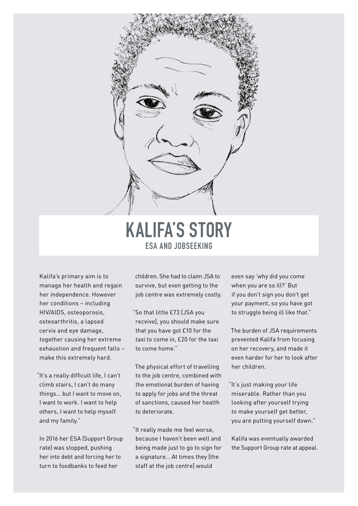

### **KALIFA'S STORY ESA AND JOBSEEKING**

Kalifa's primary aim is to manage her health and regain her independence. However her conditions – including HIV/AIDS, osteoporosis, osteoarthritis, a lapsed cervix and eye damage, together causing her extreme exhaustion and frequent falls make this extremely hard.

"It's a really difficult life, I can't climb stairs, I can't do many things… but I want to move on, I want to work. I want to help others, I want to help myself and my family."

In 2016 her ESA (Support Group rate) was stopped, pushing her into debt and forcing her to turn to foodbanks to feed her

children. She had to claim JSA to survive, but even getting to the job centre was extremely costly.

"So that little £73 [JSA you receive], you should make sure that you have got £10 for the taxi to come in, £20 for the taxi to come home."

The physical effort of travelling to the job centre, combined with the emotional burden of having to apply for jobs and the threat of sanctions, caused her health to deteriorate.

"It really made me feel worse, because I haven't been well and being made just to go to sign for a signature… At times they [the staff at the job centre] would

even say 'why did you come when you are so ill?' But if you don't sign you don't get your payment, so you have got to struggle being ill like that."

The burden of JSA requirements prevented Kalifa from focusing on her recovery, and made it even harder for her to look after her children.

"It's just making your life miserable. Rather than you looking after yourself trying to make yourself get better, you are putting yourself down."

Kalifa was eventually awarded the Support Group rate at appeal.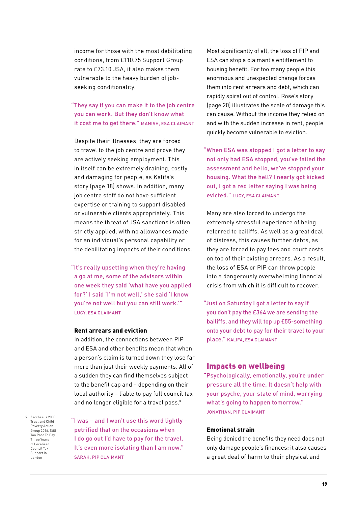income for those with the most debilitating conditions, from £110.75 Support Group rate to £73.10 JSA, it also makes them vulnerable to the heavy burden of jobseeking conditionality.

"They say if you can make it to the job centre you can work. But they don't know what it cost me to get there." MANISH, ESA CLAIMANT

Despite their illnesses, they are forced to travel to the job centre and prove they are actively seeking employment. This in itself can be extremely draining, costly and damaging for people, as Kalifa's story (page 18) shows. In addition, many job centre staff do not have sufficient expertise or training to support disabled or vulnerable clients appropriately. This means the threat of JSA sanctions is often strictly applied, with no allowances made for an individual's personal capability or the debilitating impacts of their conditions.

"It's really upsetting when they're having a go at me, some of the advisors within one week they said 'what have you applied for?' I said 'I'm not well,' she said 'I know you're not well but you can still work.'" LUCY, ESA CLAIMANT

#### Rent arrears and eviction

In addition, the connections between PIP and ESA and other benefits mean that when a person's claim is turned down they lose far more than just their weekly payments. All of a sudden they can find themselves subject to the benefit cap and – depending on their local authority – liable to pay full council tax and no longer eligible for a travel pass.<sup>9</sup>

9 Zacchaeus 2000 Trust and Child Poverty Action Group 2016, Still Too Poor To Pay: Three Years of Localised Council Tax Support in London

"I was – and I won't use this word lightly – petrified that on the occasions when I do go out I'd have to pay for the travel. It's even more isolating than I am now." SARAH, PIP CLAIMANT

Most significantly of all, the loss of PIP and ESA can stop a claimant's entitlement to housing benefit. For too many people this enormous and unexpected change forces them into rent arrears and debt, which can rapidly spiral out of control. Rose's story (page 20) illustrates the scale of damage this can cause. Without the income they relied on and with the sudden increase in rent, people quickly become vulnerable to eviction.

"When ESA was stopped I got a letter to say not only had ESA stopped, you've failed the assessment and hello, we've stopped your housing. What the hell? I nearly got kicked out, I got a red letter saying I was being evicted." LUCY, ESA CLAIMANT

Many are also forced to undergo the extremely stressful experience of being referred to bailiffs. As well as a great deal of distress, this causes further debts, as they are forced to pay fees and court costs on top of their existing arrears. As a result, the loss of ESA or PIP can throw people into a dangerously overwhelming financial crisis from which it is difficult to recover.

"Just on Saturday I got a letter to say if you don't pay the £364 we are sending the bailiffs, and they will top up £55-something onto your debt to pay for their travel to your place." KALIFA, ESA CLAIMANT

#### Impacts on wellbeing

"Psychologically, emotionally, you're under pressure all the time. It doesn't help with your psyche, your state of mind, worrying what's going to happen tomorrow." JONATHAN, PIP CLAIMANT

#### Emotional strain

Being denied the benefits they need does not only damage people's finances: it also causes a great deal of harm to their physical and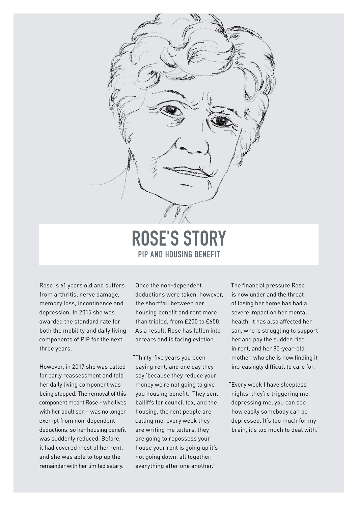

**ROSE'S STORY PIP AND HOUSING BENEFIT**

Rose is 61 years old and suffers from arthritis, nerve damage, memory loss, incontinence and depression. In 2015 she was awarded the standard rate for both the mobility and daily living components of PIP for the next three years.

However, in 2017 she was called for early reassessment and told her daily living component was being stopped. The removal of this component meant Rose – who lives with her adult son – was no longer exempt from non-dependent deductions, so her housing benefit was suddenly reduced. Before, it had covered most of her rent, and she was able to top up the remainder with her limited salary.

Once the non-dependent deductions were taken, however, the shortfall between her housing benefit and rent more than tripled, from £200 to £650. As a result, Rose has fallen into arrears and is facing eviction.

"Thirty-five years you been paying rent, and one day they say 'because they reduce your money we're not going to give you housing benefit.' They sent bailiffs for council tax, and the housing, the rent people are calling me, every week they are writing me letters, they are going to repossess your house your rent is going up it's not going down, all together, everything after one another."

The financial pressure Rose is now under and the threat of losing her home has had a severe impact on her mental health. It has also affected her son, who is struggling to support her and pay the sudden rise in rent, and her 95-year-old mother, who she is now finding it increasingly difficult to care for.

"Every week I have sleepless nights, they're triggering me, depressing me, you can see how easily somebody can be depressed. It's too much for my brain, it's too much to deal with."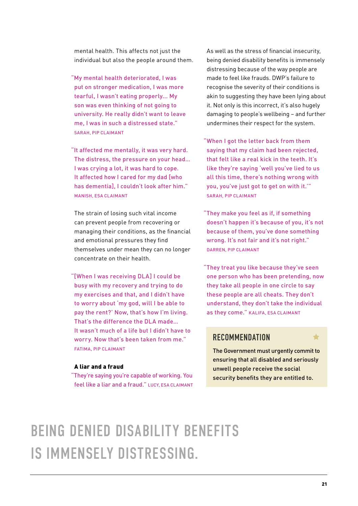mental health. This affects not just the individual but also the people around them.

- "My mental health deteriorated, I was put on stronger medication, I was more tearful, I wasn't eating properly... My son was even thinking of not going to university. He really didn't want to leave me, I was in such a distressed state." SARAH, PIP CLAIMANT
- "It affected me mentally, it was very hard. The distress, the pressure on your head… I was crying a lot, it was hard to cope. It affected how I cared for my dad [who has dementia], I couldn't look after him." MANISH, ESA CLAIMANT

The strain of losing such vital income can prevent people from recovering or managing their conditions, as the financial and emotional pressures they find themselves under mean they can no longer concentrate on their health.

"[When I was receiving DLA] I could be busy with my recovery and trying to do my exercises and that, and I didn't have to worry about 'my god, will I be able to pay the rent?' Now, that's how I'm living. That's the difference the DLA made… It wasn't much of a life but I didn't have to worry. Now that's been taken from me." FATIMA, PIP CLAIMANT

#### A liar and a fraud

"They're saying you're capable of working. You feel like a liar and a fraud." LUCY, ESA CLAIMANT As well as the stress of financial insecurity, being denied disability benefits is immensely distressing because of the way people are made to feel like frauds. DWP's failure to recognise the severity of their conditions is akin to suggesting they have been lying about it. Not only is this incorrect, it's also hugely damaging to people's wellbeing – and further undermines their respect for the system.

- "When I got the letter back from them saying that my claim had been rejected, that felt like a real kick in the teeth. It's like they're saying 'well you've lied to us all this time, there's nothing wrong with you, you've just got to get on with it.'" SARAH, PIP CLAIMANT
- "They make you feel as if, if something doesn't happen it's because of you, it's not because of them, you've done something wrong. It's not fair and it's not right." DARREN, PIP CLAIMANT
- "They treat you like because they've seen one person who has been pretending, now they take all people in one circle to say these people are all cheats. They don't understand, they don't take the individual as they come." KALIFA, ESA CLAIMANT

#### **RECOMMENDATION**

The Government must urgently commit to ensuring that all disabled and seriously unwell people receive the social security benefits they are entitled to.

### BEING DENIED DISABILITY BENEFITS IS IMMENSELY DISTRESSING.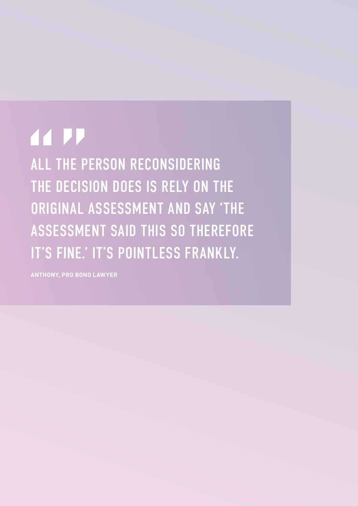## **44 PP**

ALL THE PERSON RECONSIDERING THE DECISION DOES IS RELY ON THE ORIGINAL ASSESSMENT AND SAY 'THE ASSESSMENT SAID THIS SO THEREFORE IT'S FINE.' IT'S POINTLESS FRANKLY.

**ANTHONY, PRO BONO LAWYER**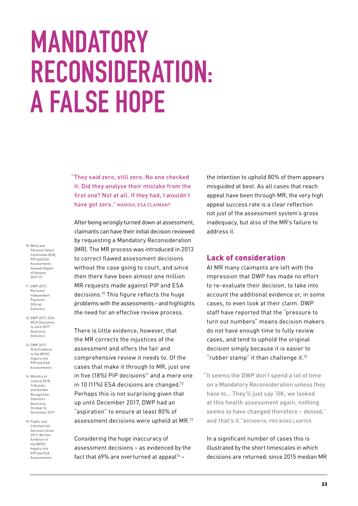## **MANDATORY RECONSIDERATION: A FALSE HOPE**

"They said zero, still zero. No one checked it. Did they analyse their mistake from the first one? Not at all. If they had, I wouldn't have got zero." MANISH, ESA CLAIMANT

After being wrongly turned down at assessment, claimants can have their initial decision reviewed by requesting a Mandatory Reconsideration (MR). The MR process was introduced in 2013 to correct flawed assessment decisions without the case going to court, and since then there have been almost one million MR requests made against PIP and ESA decisions.10 This figure reflects the huge problems with the assessments – and highlights the need for an effective review process.

There is little evidence, however, that the MR corrects the injustices of the assessment and offers the fair and comprehensive review it needs to. Of the cases that make it through to MR, just one in five  $(18\%)$  PIP decisions<sup>11</sup> and a mere one in 10 (11%) ESA decisions are changed.<sup>12</sup> Perhaps this is not surprising given that up until December 2017, DWP had an "aspiration" to ensure at least 80% of assessment decisions were upheld at MR.13

Considering the huge inaccuracy of assessment decisions – as evidenced by the fact that 69% are overturned at appeal<sup>14</sup> -

the intention to uphold 80% of them appears misguided at best. As all cases that reach appeal have been through MR, the very high appeal success rate is a clear reflection not just of the assessment system's gross inadequacy, but also of the MR's failure to address it.

#### Lack of consideration

At MR many claimants are left with the impression that DWP has made no effort to re-evaluate their decision, to take into account the additional evidence or, in some cases, to even look at their claim. DWP staff have reported that the "pressure to turn out numbers" means decision makers do not have enough time to fully review cases, and tend to uphold the original decision simply because it is easier to "rubber stamp" it than challenge it.15

"It seems the DWP don't spend a lot of time on a Mandatory Reconsideration unless they have to… They'll just say 'OK, we looked at this health assessment again, nothing seems to have changed therefore – denied,' and that's it."BRONWYN, PRO BONO LAWYER

In a significant number of cases this is illustrated by the short timescales in which decisions are returned: since 2015 median MR

- 10 Work and Pensions Select Committee 2018, PIP and ESA Assessments Seventh Report of Session 2017-19
- 11 DWP 2017, Personal Independent Payment: **Official Statistics**
- 12 DWP 2017, ESA-WCA Outcomes to June 2017 Quarterly **Statistics**
- 13 DWP 2017, Oral Evidence to the WPSC Inquiry into PIP and ESA Assessments
- 14 Ministry of Justice 2018, Tribunals and Gender Recognition **Statistics** Quarterly, October to December 2017
- 15 Public and Commercial Services Union 2017, Written Evidence to the WPSC Inquiry into PIP and ESA Assessments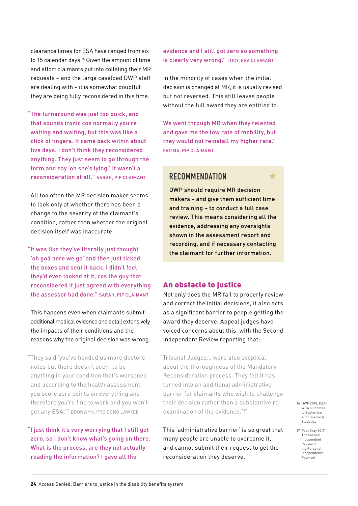clearance times for ESA have ranged from six to 15 calendar days.<sup>16</sup> Given the amount of time and effort claimants put into collating their MR requests – and the large caseload DWP staff are dealing with – it is somewhat doubtful they are being fully reconsidered in this time.

"The turnaround was just too quick, and that sounds ironic cos normally you're waiting and waiting, but this was like a click of fingers. It came back within about five days. I don't think they reconsidered anything. They just seem to go through the form and say 'oh she's lying.' It wasn't a reconsideration at all." SARAH, PIP CLAIMANT

All too often the MR decision maker seems to look only at whether there has been a change to the severity of the claimant's condition, rather than whether the original decision itself was inaccurate.

"It was like they've literally just thought 'oh god here we go' and then just ticked the boxes and sent it back. I didn't feel they'd even looked at it, cos the guy that reconsidered it just agreed with everything the assessor had done." SARAH, PIP CLAIMANT

This happens even when claimants submit additional medical evidence and detail extensively the impacts of their conditions and the reasons why the original decision was wrong.

"They said 'you've handed us more doctors notes but there doesn't seem to be anything in your condition that's worsened and according to the health assessment you score zero points on everything and therefore you're fine to work and you won't get any ESA.'" BRONWYN, PRO BONO LAWYER

"I just think it's very worrying that I still got zero, so I don't know what's going on there. What is the process, are they not actually reading the information? I gave all the

evidence and I still got zero so something is clearly very wrong." LUCY, ESA CLAIMANT

In the minority of cases when the initial decision is changed at MR, it is usually revised but not reversed. This still leaves people without the full award they are entitled to.

"We went through MR when they relented and gave me the low rate of mobility, but they would not reinstall my higher rate." FATIMA, PIP CLAIMANT

#### **RECOMMENDATION**

DWP should require MR decision makers – and give them sufficient time and training – to conduct a full case review. This means considering all the evidence, addressing any oversights shown in the assessment report and recording, and if necessary contacting the claimant for further information.

#### An obstacle to justice

Not only does the MR fail to properly review and correct the initial decisions, it also acts as a significant barrier to people getting the award they deserve. Appeal judges have voiced concerns about this, with the Second Independent Review reporting that:

"Tribunal Judges… were also sceptical about the thoroughness of the Mandatory Reconsideration process. They felt it has turned into an additional administrative barrier for claimants who wish to challenge their decision rather than a substantive reexamination of the evidence."17

This 'administrative barrier' is so great that many people are unable to overcome it. and cannot submit their request to get the reconsideration they deserve.

16 DWP 2018, ESA-WCA outcomes to September 2017 Quarterly **Statistics** 

17 Paul Gray 2017, The Second Independent Review of the Personal Independence Payment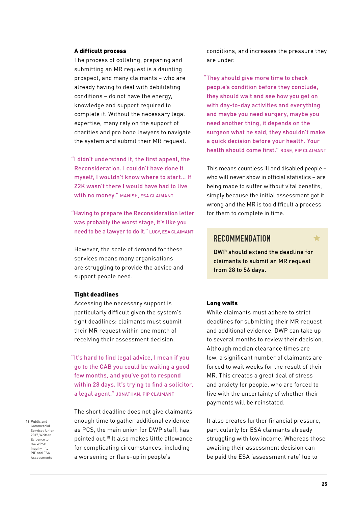#### A difficult process

The process of collating, preparing and submitting an MR request is a daunting prospect, and many claimants – who are already having to deal with debilitating conditions – do not have the energy, knowledge and support required to complete it. Without the necessary legal expertise, many rely on the support of charities and pro bono lawyers to navigate the system and submit their MR request.

"I didn't understand it, the first appeal, the Reconsideration. I couldn't have done it myself, I wouldn't know where to start… If Z2K wasn't there I would have had to live with no money." MANISH, ESA CLAIMANT

"Having to prepare the Reconsideration letter was probably the worst stage, it's like you need to be a lawyer to do it." LUCY, ESA CLAIMANT

However, the scale of demand for these services means many organisations are struggling to provide the advice and support people need.

#### Tight deadlines

Accessing the necessary support is particularly difficult given the system's tight deadlines: claimants must submit their MR request within one month of receiving their assessment decision.

"It's hard to find legal advice, I mean if you go to the CAB you could be waiting a good few months, and you've got to respond within 28 days. It's trying to find a solicitor, a legal agent." JONATHAN, PIP CLAIMANT

18 Public and Commercial Services Union 2017, Written Evidence to the WPSC Inquiry into PIP and ESA Assessments

The short deadline does not give claimants enough time to gather additional evidence, as PCS, the main union for DWP staff, has pointed out.18 It also makes little allowance for complicating circumstances, including a worsening or flare-up in people's

conditions, and increases the pressure they are under.

"They should give more time to check people's condition before they conclude, they should wait and see how you get on with day-to-day activities and everything and maybe you need surgery, maybe you need another thing, it depends on the surgeon what he said, they shouldn't make a quick decision before your health. Your health should come first." ROSE, PIP CLAIMANT

This means countless ill and disabled people – who will never show in official statistics – are being made to suffer without vital benefits, simply because the initial assessment got it wrong and the MR is too difficult a process for them to complete in time.

#### **RECOMMENDATION**

DWP should extend the deadline for claimants to submit an MR request from 28 to 56 days.

#### Long waits

While claimants must adhere to strict deadlines for submitting their MR request and additional evidence, DWP can take up to several months to review their decision. Although median clearance times are low, a significant number of claimants are forced to wait weeks for the result of their MR. This creates a great deal of stress and anxiety for people, who are forced to live with the uncertainty of whether their payments will be reinstated.

It also creates further financial pressure, particularly for ESA claimants already struggling with low income. Whereas those awaiting their assessment decision can be paid the ESA 'assessment rate' (up to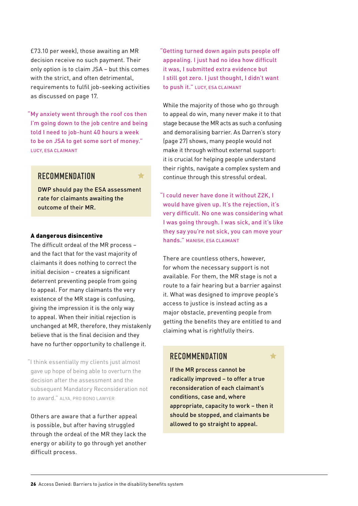£73.10 per week), those awaiting an MR decision receive no such payment. Their only option is to claim JSA – but this comes with the strict, and often detrimental, requirements to fulfil job-seeking activities as discussed on page 17.

"My anxiety went through the roof cos then I'm going down to the job centre and being told I need to job-hunt 40 hours a week to be on JSA to get some sort of money." LUCY, ESA CLAIMANT

#### **RECOMMENDATION**

DWP should pay the ESA assessment rate for claimants awaiting the outcome of their MR.

#### A dangerous disincentive

The difficult ordeal of the MR process – and the fact that for the vast majority of claimants it does nothing to correct the initial decision – creates a significant deterrent preventing people from going to appeal. For many claimants the very existence of the MR stage is confusing, giving the impression it is the only way to appeal. When their initial rejection is unchanged at MR, therefore, they mistakenly believe that is the final decision and they have no further opportunity to challenge it.

"I think essentially my clients just almost gave up hope of being able to overturn the decision after the assessment and the subsequent Mandatory Reconsideration not to award." ALYA, PRO BONO LAWYER

Others are aware that a further appeal is possible, but after having struggled through the ordeal of the MR they lack the energy or ability to go through yet another difficult process.

"Getting turned down again puts people off appealing. I just had no idea how difficult it was, I submitted extra evidence but I still got zero. I just thought, I didn't want to push it." LUCY, ESA CLAIMANT

While the majority of those who go through to appeal do win, many never make it to that stage because the MR acts as such a confusing and demoralising barrier. As Darren's story (page 27) shows, many people would not make it through without external support: it is crucial for helping people understand their rights, navigate a complex system and continue through this stressful ordeal.

"I could never have done it without Z2K, I would have given up. It's the rejection, it's very difficult. No one was considering what I was going through. I was sick, and it's like they say you're not sick, you can move your hands." MANISH, ESA CLAIMANT

There are countless others, however, for whom the necessary support is not available. For them, the MR stage is not a route to a fair hearing but a barrier against it. What was designed to improve people's access to justice is instead acting as a major obstacle, preventing people from getting the benefits they are entitled to and claiming what is rightfully theirs.

#### **RECOMMENDATION**

If the MR process cannot be radically improved – to offer a true reconsideration of each claimant's conditions, case and, where appropriate, capacity to work – then it should be stopped, and claimants be allowed to go straight to appeal.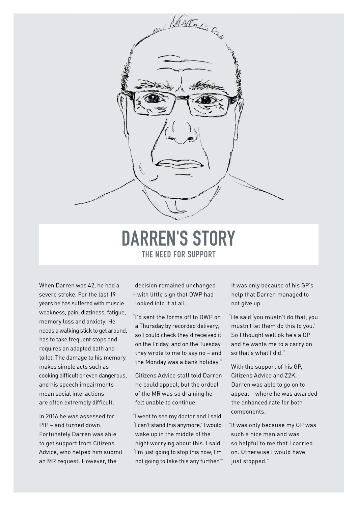

### **DARREN'S STORY THE NEED FOR SUPPORT**

When Darren was 42, he had a severe stroke. For the last 19 years he has suffered with muscle weakness, pain, dizziness, fatigue, memory loss and anxiety. He needs a walking stick to get around, has to take frequent stops and requires an adapted bath and toilet. The damage to his memory makes simple acts such as cooking difficult or even dangerous, and his speech impairments mean social interactions are often extremely difficult.

In 2016 he was assessed for PIP – and turned down. Fortunately Darren was able to get support from Citizens Advice, who helped him submit an MR request. However, the

decision remained unchanged – with little sign that DWP had looked into it at all.

"I'd sent the forms off to DWP on a Thursday by recorded delivery, so I could check they'd received it on the Friday, and on the Tuesday they wrote to me to say no – and the Monday was a bank holiday."

Citizens Advice staff told Darren he could appeal, but the ordeal of the MR was so draining he felt unable to continue.

"I went to see my doctor and I said 'I can't stand this anymore.' I would wake up in the middle of the night worrying about this. I said 'I'm just going to stop this now, I'm not going to take this any further.'" It was only because of his GP's help that Darren managed to not give up.

"He said 'you mustn't do that, you mustn't let them do this to you.' So I thought well ok he's a GP and he wants me to a carry on so that's what I did."

With the support of his GP, Citizens Advice and Z2K, Darren was able to go on to appeal – where he was awarded the enhanced rate for both components.

"It was only because my GP was such a nice man and was so helpful to me that I carried on. Otherwise I would have just stopped."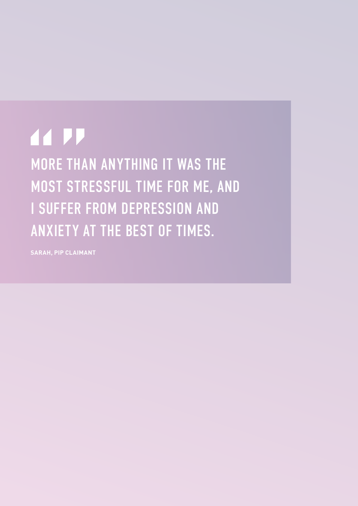## **44 PP**

MORE THAN ANYTHING IT WAS THE MOST STRESSFUL TIME FOR ME, AND I SUFFER FROM DEPRESSION AND ANXIETY AT THE BEST OF TIMES.

**SARAH, PIP CLAIMANT**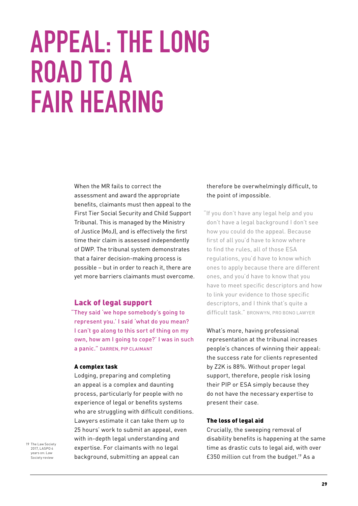## **APPEAL: THE LONG ROAD TO A FAIR HEARING**

When the MR fails to correct the assessment and award the appropriate benefits, claimants must then appeal to the First Tier Social Security and Child Support Tribunal. This is managed by the Ministry of Justice (MoJ), and is effectively the first time their claim is assessed independently of DWP. The tribunal system demonstrates that a fairer decision-making process is possible – but in order to reach it, there are yet more barriers claimants must overcome.

#### Lack of legal support

"They said 'we hope somebody's going to represent you.' I said 'what do you mean? I can't go along to this sort of thing on my own, how am I going to cope?' I was in such a panic." DARREN, PIP CLAIMANT

#### A complex task

Lodging, preparing and completing an appeal is a complex and daunting process, particularly for people with no experience of legal or benefits systems who are struggling with difficult conditions. Lawyers estimate it can take them up to 25 hours' work to submit an appeal, even with in-depth legal understanding and expertise. For claimants with no legal background, submitting an appeal can

19 The Law Society 2017 | ASPO 4 years on: Law Society review

#### therefore be overwhelmingly difficult, to the point of impossible.

"If you don't have any legal help and you don't have a legal background I don't see how you could do the appeal. Because first of all you'd have to know where to find the rules, all of those ESA regulations, you'd have to know which ones to apply because there are different ones, and you'd have to know that you have to meet specific descriptors and how to link your evidence to those specific descriptors, and I think that's quite a difficult task." BRONWYN, PRO BONO LAWYER

What's more, having professional representation at the tribunal increases people's chances of winning their appeal: the success rate for clients represented by Z2K is 88%. Without proper legal support, therefore, people risk losing their PIP or ESA simply because they do not have the necessary expertise to present their case.

#### The loss of legal aid

Crucially, the sweeping removal of disability benefits is happening at the same time as drastic cuts to legal aid, with over £350 million cut from the budget.19 As a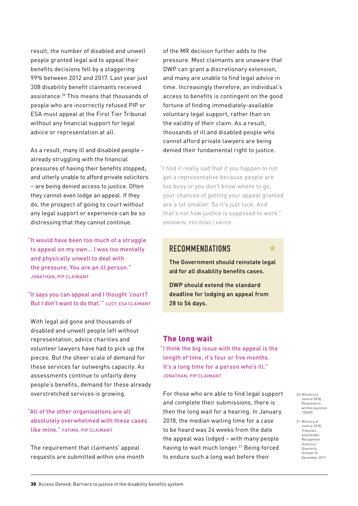result, the number of disabled and unwell people granted legal aid to appeal their benefits decisions fell by a staggering 99% between 2012 and 2017. Last year just 308 disability benefit claimants received assistance.20 This means that thousands of people who are incorrectly refused PIP or ESA must appeal at the First Tier Tribunal without any financial support for legal advice or representation at all.

As a result, many ill and disabled people – already struggling with the financial pressures of having their benefits stopped, and utterly unable to afford private solicitors – are being denied access to justice. Often they cannot even lodge an appeal. If they do, the prospect of going to court without any legal support or experience can be so distressing that they cannot continue.

"It would have been too much of a struggle to appeal on my own… I was too mentally and physically unwell to deal with the pressure. You are an ill person." JONATHAN, PIP CLAIMANT

"It says you can appeal and I thought 'court? But I don't want to do that.'" LUCY, ESA CLAIMANT

With legal aid gone and thousands of disabled and unwell people left without representation, advice charities and volunteer lawyers have had to pick up the pieces. But the sheer scale of demand for these services far outweighs capacity. As assessments continue to unfairly deny people's benefits, demand for these already overstretched services is growing.

"All of the other organisations are all absolutely overwhelmed with these cases like mine." FATIMA, PIP CLAIMANT

The requirement that claimants' appeal requests are submitted within one month of the MR decision further adds to the pressure. Most claimants are unaware that DWP can grant a discretionary extension, and many are unable to find legal advice in time. Increasingly therefore, an individual's access to benefits is contingent on the good fortune of finding immediately-available voluntary legal support, rather than on the validity of their claim. As a result, thousands of ill and disabled people who cannot afford private lawyers are being denied their fundamental right to justice.

"I find it really sad that if you happen to not get a representative because people are too busy or you don't know where to go, your chances of getting your appeal granted are a lot smaller. So it's just luck. And that's not how justice is supposed to work." BRONWYN, PRO BONO LAWYER

#### **RECOMMENDATIONS**

The Government should reinstate legal aid for all disability benefits cases.

DWP should extend the standard deadline for lodging an appeal from 28 to 56 days.

#### The long wait

"I think the big issue with the appeal is the length of time, it's four or five months. It's a long time for a person who's ill." JONATHAN, PIP CLAIMANT

For those who are able to find legal support and complete their submissions, there is then the long wait for a hearing. In January 2018, the median waiting time for a case to be heard was 24 weeks from the date the appeal was lodged – with many people having to wait much longer.<sup>21</sup> Being forced to endure such a long wait before their

20 Ministry of Justice 2018, Response to written question 130690

21 Ministry of Justice 2018, Tribunals and Gender Recognition Statistics Quarterly, October to December 2017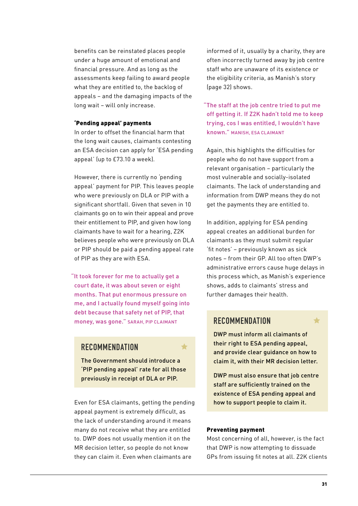benefits can be reinstated places people under a huge amount of emotional and financial pressure. And as long as the assessments keep failing to award people what they are entitled to, the backlog of appeals – and the damaging impacts of the long wait – will only increase.

#### 'Pending appeal' payments

In order to offset the financial harm that the long wait causes, claimants contesting an ESA decision can apply for 'ESA pending appeal' (up to £73.10 a week).

However, there is currently no 'pending appeal' payment for PIP. This leaves people who were previously on DLA or PIP with a significant shortfall. Given that seven in 10 claimants go on to win their appeal and prove their entitlement to PIP, and given how long claimants have to wait for a hearing, Z2K believes people who were previously on DLA or PIP should be paid a pending appeal rate of PIP as they are with ESA.

"It took forever for me to actually get a court date, it was about seven or eight months. That put enormous pressure on me, and I actually found myself going into debt because that safety net of PIP, that money, was gone." SARAH, PIP CLAIMANT

#### **RECOMMENDATION**

The Government should introduce a 'PIP pending appeal' rate for all those previously in receipt of DLA or PIP.

 $\blacklozenge$ 

Even for ESA claimants, getting the pending appeal payment is extremely difficult, as the lack of understanding around it means many do not receive what they are entitled to. DWP does not usually mention it on the MR decision letter, so people do not know they can claim it. Even when claimants are

informed of it, usually by a charity, they are often incorrectly turned away by job centre staff who are unaware of its existence or the eligibility criteria, as Manish's story (page 32) shows.

"The staff at the job centre tried to put me off getting it. If Z2K hadn't told me to keep trying, cos I was entitled, I wouldn't have known." MANISH, ESA CLAIMANT

Again, this highlights the difficulties for people who do not have support from a relevant organisation – particularly the most vulnerable and socially-isolated claimants. The lack of understanding and information from DWP means they do not get the payments they are entitled to.

In addition, applying for ESA pending appeal creates an additional burden for claimants as they must submit regular 'fit notes' – previously known as sick notes – from their GP. All too often DWP's administrative errors cause huge delays in this process which, as Manish's experience shows, adds to claimants' stress and further damages their health.

#### **RECOMMENDATION**

DWP must inform all claimants of their right to ESA pending appeal, and provide clear guidance on how to claim it, with their MR decision letter.

DWP must also ensure that job centre staff are sufficiently trained on the existence of ESA pending appeal and how to support people to claim it.

#### Preventing payment

Most concerning of all, however, is the fact that DWP is now attempting to dissuade GPs from issuing fit notes at all. Z2K clients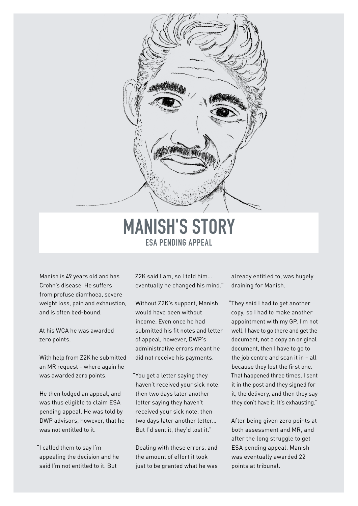

### **MANISH'S STORY ESA PENDING APPEAL**

Manish is 49 years old and has Crohn's disease. He suffers from profuse diarrhoea, severe weight loss, pain and exhaustion, and is often bed-bound.

At his WCA he was awarded zero points.

With help from Z2K he submitted an MR request – where again he was awarded zero points.

He then lodged an appeal, and was thus eligible to claim ESA pending appeal. He was told by DWP advisors, however, that he was not entitled to it.

"I called them to say I'm appealing the decision and he said I'm not entitled to it. But

Z2K said I am, so I told him… eventually he changed his mind."

Without Z2K's support, Manish would have been without income. Even once he had submitted his fit notes and letter of appeal, however, DWP's administrative errors meant he did not receive his payments.

"You get a letter saying they haven't received your sick note, then two days later another letter saying they haven't received your sick note, then two days later another letter… But I'd sent it, they'd lost it."

Dealing with these errors, and the amount of effort it took just to be granted what he was already entitled to, was hugely draining for Manish.

"They said I had to get another copy, so I had to make another appointment with my GP, I'm not well, I have to go there and get the document, not a copy an original document, then I have to go to the job centre and scan it in – all because they lost the first one. That happened three times. I sent it in the post and they signed for it, the delivery, and then they say they don't have it. It's exhausting."

After being given zero points at both assessment and MR, and after the long struggle to get ESA pending appeal, Manish was eventually awarded 22 points at tribunal.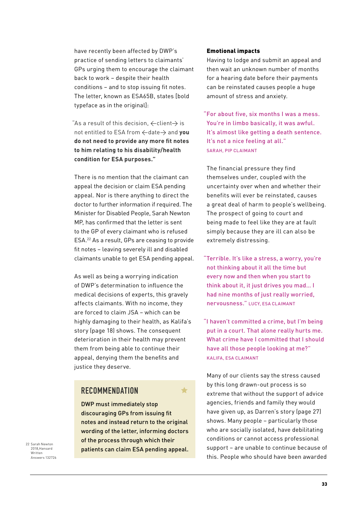have recently been affected by DWP's practice of sending letters to claimants' GPs urging them to encourage the claimant back to work – despite their health conditions – and to stop issuing fit notes. The letter, known as ESA65B, states [bold typeface as in the original]:

"As a result of this decision,  $\leftarrow$  client $\rightarrow$  is not entitled to ESA from  $\leftarrow$  date  $\rightarrow$  and you **do not need to provide any more fit notes to him relating to his disability/health condition for ESA purposes."**

There is no mention that the claimant can appeal the decision or claim ESA pending appeal. Nor is there anything to direct the doctor to further information if required. The Minister for Disabled People, Sarah Newton MP, has confirmed that the letter is sent to the GP of every claimant who is refused ESA.22 As a result, GPs are ceasing to provide fit notes – leaving severely ill and disabled claimants unable to get ESA pending appeal.

As well as being a worrying indication of DWP's determination to influence the medical decisions of experts, this gravely affects claimants. With no income, they are forced to claim JSA – which can be highly damaging to their health, as Kalifa's story (page 18) shows. The consequent deterioration in their health may prevent them from being able to continue their appeal, denying them the benefits and justice they deserve.

#### **RECOMMENDATION**

DWP must immediately stop discouraging GPs from issuing fit notes and instead return to the original wording of the letter, informing doctors of the process through which their patients can claim ESA pending appeal.

 $\blacktriangle$ 

22 Sarah Newton 2018,Hansard Written Answers 132726

#### Emotional impacts

Having to lodge and submit an appeal and then wait an unknown number of months for a hearing date before their payments can be reinstated causes people a huge amount of stress and anxiety.

"For about five, six months I was a mess. You're in limbo basically, it was awful. It's almost like getting a death sentence. It's not a nice feeling at all." SARAH, PIP CLAIMANT

The financial pressure they find themselves under, coupled with the uncertainty over when and whether their benefits will ever be reinstated, causes a great deal of harm to people's wellbeing. The prospect of going to court and being made to feel like they are at fault simply because they are ill can also be extremely distressing.

"Terrible. It's like a stress, a worry, you're not thinking about it all the time but every now and then when you start to think about it, it just drives you mad… I had nine months of just really worried. nervousness." LUCY, ESA CLAIMANT

"I haven't committed a crime, but I'm being put in a court. That alone really hurts me. What crime have I committed that I should have all those people looking at me?" KALIFA, ESA CLAIMANT

Many of our clients say the stress caused by this long drawn-out process is so extreme that without the support of advice agencies, friends and family they would have given up, as Darren's story (page 27) shows. Many people – particularly those who are socially isolated, have debilitating conditions or cannot access professional support – are unable to continue because of this. People who should have been awarded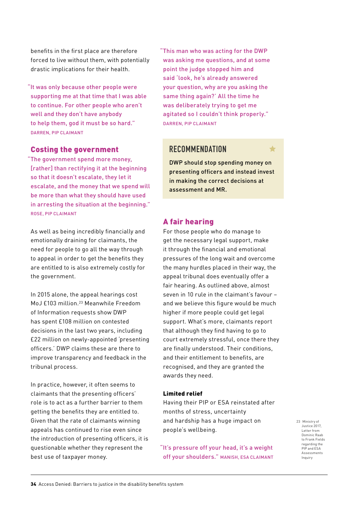benefits in the first place are therefore forced to live without them, with potentially drastic implications for their health.

"It was only because other people were supporting me at that time that I was able to continue. For other people who aren't well and they don't have anybody to help them, god it must be so hard." DARREN, PIP CLAIMANT

#### Costing the government

"The government spend more money, [rather] than rectifying it at the beginning so that it doesn't escalate, they let it escalate, and the money that we spend will be more than what they should have used in arresting the situation at the beginning." ROSE, PIP CLAIMANT

As well as being incredibly financially and emotionally draining for claimants, the need for people to go all the way through to appeal in order to get the benefits they are entitled to is also extremely costly for the government.

In 2015 alone, the appeal hearings cost MoJ £103 million.23 Meanwhile Freedom of Information requests show DWP has spent £108 million on contested decisions in the last two years, including £22 million on newly-appointed 'presenting officers.' DWP claims these are there to improve transparency and feedback in the tribunal process.

In practice, however, it often seems to claimants that the presenting officers' role is to act as a further barrier to them getting the benefits they are entitled to. Given that the rate of claimants winning appeals has continued to rise even since the introduction of presenting officers, it is questionable whether they represent the best use of taxpayer money.

"This man who was acting for the DWP was asking me questions, and at some point the judge stopped him and said 'look, he's already answered your question, why are you asking the same thing again?' All the time he was deliberately trying to get me agitated so I couldn't think properly." DARREN, PIP CLAIMANT

### **RECOMMENDATION**

DWP should stop spending money on presenting officers and instead invest in making the correct decisions at assessment and MR.

#### A fair hearing

For those people who do manage to get the necessary legal support, make it through the financial and emotional pressures of the long wait and overcome the many hurdles placed in their way, the appeal tribunal does eventually offer a fair hearing. As outlined above, almost seven in 10 rule in the claimant's favour – and we believe this figure would be much higher if more people could get legal support. What's more, claimants report that although they find having to go to court extremely stressful, once there they are finally understood. Their conditions, and their entitlement to benefits, are recognised, and they are granted the awards they need.

#### Limited relief

Having their PIP or ESA reinstated after months of stress, uncertainty and hardship has a huge impact on people's wellbeing.

"It's pressure off your head, it's a weight off your shoulders." MANISH, ESA CLAIMANT 23 Ministry of Justice 2017, Letter from Dominic Raab to Frank Fields regarding the PIP and ESA Assessments Inquiry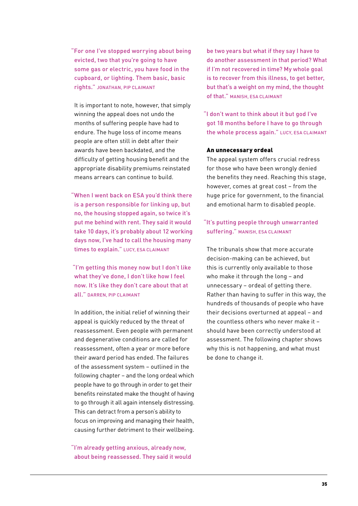"For one I've stopped worrying about being evicted, two that you're going to have some gas or electric, you have food in the cupboard, or lighting. Them basic, basic rights." JONATHAN, PIP CLAIMANT

It is important to note, however, that simply winning the appeal does not undo the months of suffering people have had to endure. The huge loss of income means people are often still in debt after their awards have been backdated, and the difficulty of getting housing benefit and the appropriate disability premiums reinstated means arrears can continue to build.

"When I went back on ESA you'd think there is a person responsible for linking up, but no, the housing stopped again, so twice it's put me behind with rent. They said it would take 10 days, it's probably about 12 working days now, I've had to call the housing many times to explain." LUCY, ESA CLAIMANT

 "I'm getting this money now but I don't like what they've done, I don't like how I feel now. It's like they don't care about that at all." DARREN, PIP CLAIMANT

In addition, the initial relief of winning their appeal is quickly reduced by the threat of reassessment. Even people with permanent and degenerative conditions are called for reassessment, often a year or more before their award period has ended. The failures of the assessment system – outlined in the following chapter – and the long ordeal which people have to go through in order to get their benefits reinstated make the thought of having to go through it all again intensely distressing. This can detract from a person's ability to focus on improving and managing their health, causing further detriment to their wellbeing.

"I'm already getting anxious, already now, about being reassessed. They said it would be two years but what if they say I have to do another assessment in that period? What if I'm not recovered in time? My whole goal is to recover from this illness, to get better, but that's a weight on my mind, the thought of that." MANISH, ESA CLAIMANT

"I don't want to think about it but god I've got 18 months before I have to go through the whole process again." LUCY, ESA CLAIMANT

#### An unnecessary ordeal

The appeal system offers crucial redress for those who have been wrongly denied the benefits they need. Reaching this stage, however, comes at great cost – from the huge price for government, to the financial and emotional harm to disabled people.

#### "It's putting people through unwarranted suffering." MANISH, ESA CLAIMANT

The tribunals show that more accurate decision-making can be achieved, but this is currently only available to those who make it through the long - and unnecessary – ordeal of getting there. Rather than having to suffer in this way, the hundreds of thousands of people who have their decisions overturned at appeal – and the countless others who never make it – should have been correctly understood at assessment. The following chapter shows why this is not happening, and what must be done to change it.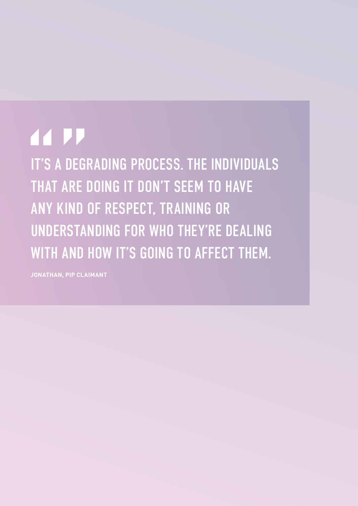## **44 PP**

IT'S A DEGRADING PROCESS. THE INDIVIDUALS THAT ARE DOING IT DON'T SEEM TO HAVE ANY KIND OF RESPECT, TRAINING OR UNDERSTANDING FOR WHO THEY'RE DEALING WITH AND HOW IT'S GOING TO AFFECT THEM.

**JONATHAN, PIP CLAIMANT**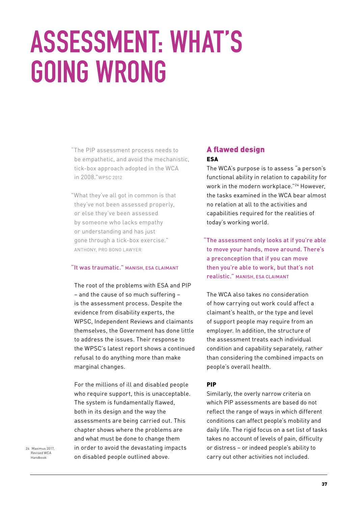## **ASSESSMENT: WHAT'S GOING WRONG**

- "The PIP assessment process needs to be empathetic, and avoid the mechanistic, tick-box approach adopted in the WCA in 2008."WPSC 2012
- "What they've all got in common is that they've not been assessed properly, or else they've been assessed by someone who lacks empathy or understanding and has just gone through a tick-box exercise." ANTHONY, PRO BONO LAWYER

#### "It was traumatic." MANISH, ESA CLAIMANT

The root of the problems with ESA and PIP – and the cause of so much suffering – is the assessment process. Despite the evidence from disability experts, the WPSC, Independent Reviews and claimants themselves, the Government has done little to address the issues. Their response to the WPSC's latest report shows a continued refusal to do anything more than make marginal changes.

For the millions of ill and disabled people who require support, this is unacceptable. The system is fundamentally flawed, both in its design and the way the assessments are being carried out. This chapter shows where the problems are and what must be done to change them in order to avoid the devastating impacts on disabled people outlined above.

#### A flawed design ESA

The WCA's purpose is to assess "a person's functional ability in relation to capability for work in the modern workplace."<sup>24</sup> However, the tasks examined in the WCA bear almost no relation at all to the activities and capabilities required for the realities of today's working world.

"The assessment only looks at if you're able to move your hands, move around. There's a preconception that if you can move then you're able to work, but that's not realistic." MANISH, ESA CLAIMANT

The WCA also takes no consideration of how carrying out work could affect a claimant's health, or the type and level of support people may require from an employer. In addition, the structure of the assessment treats each individual condition and capability separately, rather than considering the combined impacts on people's overall health.

#### PIP

Similarly, the overly narrow criteria on which PIP assessments are based do not reflect the range of ways in which different conditions can affect people's mobility and daily life. The rigid focus on a set list of tasks takes no account of levels of pain, difficulty or distress – or indeed people's ability to carry out other activities not included.

24 Maximus 2017, Revised WCA Handbook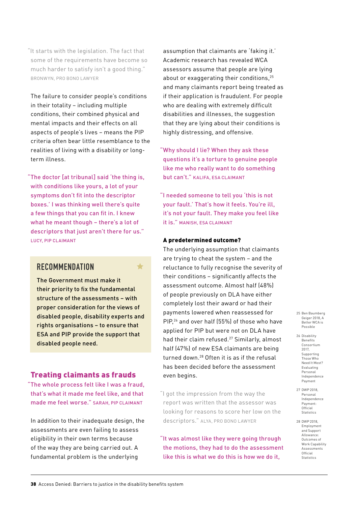"It starts with the legislation. The fact that some of the requirements have become so much harder to satisfy isn't a good thing." BRONWYN, PRO BONO LAWYER

The failure to consider people's conditions in their totality – including multiple conditions, their combined physical and mental impacts and their effects on all aspects of people's lives – means the PIP criteria often bear little resemblance to the realities of living with a disability or longterm illness.

"The doctor [at tribunal] said 'the thing is, with conditions like yours, a lot of your symptoms don't fit into the descriptor boxes.' I was thinking well there's quite a few things that you can fit in. I knew what he meant though – there's a lot of descriptors that just aren't there for us." LUCY, PIP CLAIMANT

### **RECOMMENDATION**

The Government must make it their priority to fix the fundamental structure of the assessments – with proper consideration for the views of disabled people, disability experts and rights organisations – to ensure that ESA and PIP provide the support that disabled people need.

 $\blacklozenge$ 

#### Treating claimants as frauds

"The whole process felt like I was a fraud, that's what it made me feel like, and that made me feel worse." SARAH, PIP CLAIMANT

In addition to their inadequate design, the assessments are even failing to assess eligibility in their own terms because of the way they are being carried out. A fundamental problem is the underlying

assumption that claimants are 'faking it.' Academic research has revealed WCA assessors assume that people are lying about or exaggerating their conditions. $25$ and many claimants report being treated as if their application is fraudulent. For people who are dealing with extremely difficult disabilities and illnesses, the suggestion that they are lying about their conditions is highly distressing, and offensive.

"Why should I lie? When they ask these questions it's a torture to genuine people like me who really want to do something but can't." KALIFA, ESA CLAIMANT

"I needed someone to tell you 'this is not your fault.' That's how it feels. You're ill, it's not your fault. They make you feel like it is." MANISH, ESA CLAIMANT

#### A predetermined outcome?

The underlying assumption that claimants are trying to cheat the system – and the reluctance to fully recognise the severity of their conditions – significantly affects the assessment outcome. Almost half (48%) of people previously on DLA have either completely lost their award or had their payments lowered when reassessed for PIP,26 and over half (55%) of those who have applied for PIP but were not on DLA have had their claim refused.<sup>27</sup> Similarly, almost half (47%) of new ESA claimants are being turned down.28 Often it is as if the refusal has been decided before the assessment even begins.

"I got the impression from the way the report was written that the assessor was looking for reasons to score her low on the descriptors." ALYA, PRO BONO LAWYER

"It was almost like they were going through the motions, they had to do the assessment like this is what we do this is how we do it,

25 Ben Baumberg Geiger 2018, A Better WCA is Possible

- 26 Disability Benefits Consortium 2017, Supporting Those Who Need It Most? Evaluating Personal Independence Payment
- 27 DWP 2018, Personal Independence Payment: Official **Statistics**
- 28 DWP 2018, Employment and Support Allowance: Outcomes of Work Capability Assessments Official Statistics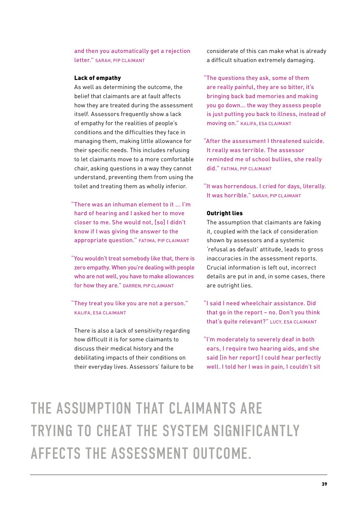and then you automatically get a rejection letter." SARAH, PIP CLAIMANT

#### Lack of empathy

As well as determining the outcome, the belief that claimants are at fault affects how they are treated during the assessment itself. Assessors frequently show a lack of empathy for the realities of people's conditions and the difficulties they face in managing them, making little allowance for their specific needs. This includes refusing to let claimants move to a more comfortable chair, asking questions in a way they cannot understand, preventing them from using the toilet and treating them as wholly inferior.

"There was an inhuman element to it ... I'm hard of hearing and I asked her to move closer to me. She would not, [so] I didn't know if I was giving the answer to the appropriate question." FATIMA, PIP CLAIMANT

"You wouldn't treat somebody like that, there is zero empathy. When you're dealing with people who are not well, you have to make allowances for how they are." DARREN, PIP CLAIMANT

"They treat you like you are not a person." KALIFA, ESA CLAIMANT

There is also a lack of sensitivity regarding how difficult it is for some claimants to discuss their medical history and the debilitating impacts of their conditions on their everyday lives. Assessors' failure to be considerate of this can make what is already a difficult situation extremely damaging.

"The questions they ask, some of them are really painful, they are so bitter, it's bringing back bad memories and making you go down... the way they assess people is just putting you back to illness, instead of moving on." KALIFA, ESA CLAIMANT

"After the assessment I threatened suicide. It really was terrible. The assessor reminded me of school bullies, she really did." FATIMA, PIP CLAIMANT

"It was horrendous. I cried for days, literally. It was horrible." SARAH, PIP CLAIMANT

#### Outright lies

The assumption that claimants are faking it, coupled with the lack of consideration shown by assessors and a systemic 'refusal as default' attitude, leads to gross inaccuracies in the assessment reports. Crucial information is left out, incorrect details are put in and, in some cases, there are outright lies.

- "I said I need wheelchair assistance. Did that go in the report – no. Don't you think that's quite relevant?" LUCY, ESA CLAIMANT
- "I'm moderately to severely deaf in both ears, I require two hearing aids, and she said [in her report] I could hear perfectly well. I told her I was in pain, I couldn't sit

THE ASSUMPTION THAT CLAIMANTS ARE TRYING TO CHEAT THE SYSTEM SIGNIFICANTLY AFFECTS THE ASSESSMENT OUTCOME.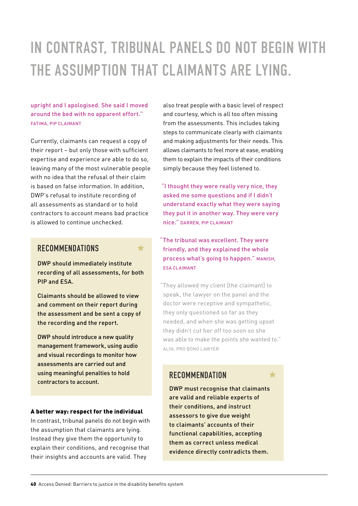### IN CONTRAST, TRIBUNAL PANELS DO NOT BEGIN WITH THE ASSUMPTION THAT CLAIMANTS ARE LYING.

#### upright and I apologised. She said I moved around the bed with no apparent effort." FATIMA, PIP CLAIMANT

Currently, claimants can request a copy of their report – but only those with sufficient expertise and experience are able to do so, leaving many of the most vulnerable people with no idea that the refusal of their claim is based on false information. In addition, DWP's refusal to institute recording of all assessments as standard or to hold contractors to account means bad practice is allowed to continue unchecked.

#### **RECOMMENDATIONS**

#### DWP should immediately institute recording of all assessments, for both PIP and ESA.

Claimants should be allowed to view and comment on their report during the assessment and be sent a copy of the recording and the report.

DWP should introduce a new quality management framework, using audio and visual recordings to monitor how assessments are carried out and using meaningful penalties to hold contractors to account.

#### A better way: respect for the individual

In contrast, tribunal panels do not begin with the assumption that claimants are lying. Instead they give them the opportunity to explain their conditions, and recognise that their insights and accounts are valid. They

also treat people with a basic level of respect and courtesy, which is all too often missing from the assessments. This includes taking steps to communicate clearly with claimants and making adjustments for their needs. This allows claimants to feel more at ease, enabling them to explain the impacts of their conditions simply because they feel listened to.

 "I thought they were really very nice, they asked me some questions and if I didn't understand exactly what they were saying they put it in another way. They were very nice." DARREN, PIP CLAIMANT

"The tribunal was excellent. They were friendly, and they explained the whole process what's going to happen." MANISH, ESA CLAIMANT

"They allowed my client [the claimant] to speak, the lawyer on the panel and the doctor were receptive and sympathetic, they only questioned so far as they needed, and when she was getting upset they didn't cut her off too soon so she was able to make the points she wanted to." ALYA, PRO BONO LAWYER

#### **RECOMMENDATION**

DWP must recognise that claimants are valid and reliable experts of their conditions, and instruct assessors to give due weight to claimants' accounts of their functional capabilities, accepting them as correct unless medical evidence directly contradicts them.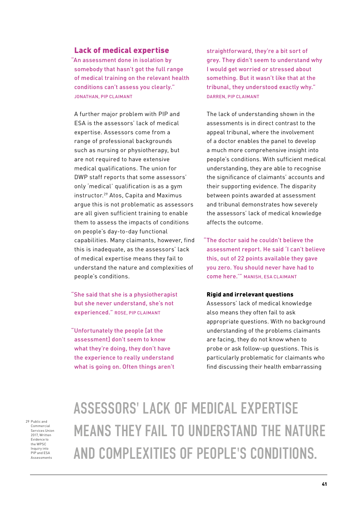#### Lack of medical expertise

"An assessment done in isolation by somebody that hasn't got the full range of medical training on the relevant health conditions can't assess you clearly." JONATHAN, PIP CLAIMANT

A further major problem with PIP and ESA is the assessors' lack of medical expertise. Assessors come from a range of professional backgrounds such as nursing or physiotherapy, but are not required to have extensive medical qualifications. The union for DWP staff reports that some assessors' only 'medical' qualification is as a gym instructor.29 Atos, Capita and Maximus argue this is not problematic as assessors are all given sufficient training to enable them to assess the impacts of conditions on people's day-to-day functional capabilities. Many claimants, however, find this is inadequate, as the assessors' lack of medical expertise means they fail to understand the nature and complexities of people's conditions.

"She said that she is a physiotherapist but she never understand, she's not experienced." ROSE, PIP CLAIMANT

"Unfortunately the people [at the assessment] don't seem to know what they're doing, they don't have the experience to really understand what is going on. Often things aren't straightforward, they're a bit sort of grey. They didn't seem to understand why I would get worried or stressed about something. But it wasn't like that at the tribunal, they understood exactly why." DARREN, PIP CLAIMANT

The lack of understanding shown in the assessments is in direct contrast to the appeal tribunal, where the involvement of a doctor enables the panel to develop a much more comprehensive insight into people's conditions. With sufficient medical understanding, they are able to recognise the significance of claimants' accounts and their supporting evidence. The disparity between points awarded at assessment and tribunal demonstrates how severely the assessors' lack of medical knowledge affects the outcome.

"The doctor said he couldn't believe the assessment report. He said 'I can't believe this, out of 22 points available they gave you zero. You should never have had to come here.'" MANISH, ESA CLAIMANT

#### Rigid and irrelevant questions

Assessors' lack of medical knowledge also means they often fail to ask appropriate questions. With no background understanding of the problems claimants are facing, they do not know when to probe or ask follow-up questions. This is particularly problematic for claimants who find discussing their health embarrassing

29 Public and Commercial Services Union 2017, Written Evidence to the WPSC Inquiry into PIP and ESA Assessments

### ASSESSORS' LACK OF MEDICAL EXPERTISE MEANS THEY FAIL TO UNDERSTAND THE NATURE AND COMPLEXITIES OF PEOPLE'S CONDITIONS.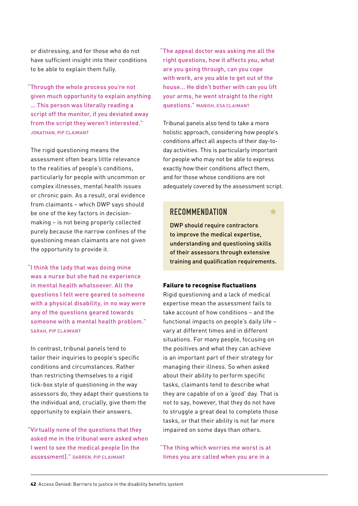or distressing, and for those who do not have sufficient insight into their conditions to be able to explain them fully.

"Through the whole process you're not given much opportunity to explain anything … This person was literally reading a script off the monitor, if you deviated away from the script they weren't interested." JONATHAN, PIP CLAIMANT

The rigid questioning means the assessment often bears little relevance to the realities of people's conditions, particularly for people with uncommon or complex illnesses, mental health issues or chronic pain. As a result, oral evidence from claimants – which DWP says should be one of the key factors in decisionmaking – is not being properly collected purely because the narrow confines of the questioning mean claimants are not given the opportunity to provide it.

"I think the lady that was doing mine was a nurse but she had no experience in mental health whatsoever. All the questions I felt were geared to someone with a physical disability, in no way were any of the questions geared towards someone with a mental health problem." SARAH, PIP CLAIMANT

In contrast, tribunal panels tend to tailor their inquiries to people's specific conditions and circumstances. Rather than restricting themselves to a rigid tick-box style of questioning in the way assessors do, they adapt their questions to the individual and, crucially, give them the opportunity to explain their answers.

"Virtually none of the questions that they asked me in the tribunal were asked when I went to see the medical people [in the assessment]." DARREN, PIP CLAIMANT

"The appeal doctor was asking me all the right questions, how it affects you, what are you going through, can you cope with work, are you able to get out of the house... He didn't bother with can you lift your arms, he went straight to the right questions." MANISH, ESA CLAIMANT

Tribunal panels also tend to take a more holistic approach, considering how people's conditions affect all aspects of their day-today activities. This is particularly important for people who may not be able to express exactly how their conditions affect them, and for those whose conditions are not adequately covered by the assessment script.

#### **RECOMMENDATION**

DWP should require contractors to improve the medical expertise, understanding and questioning skills

of their assessors through extensive training and qualification requirements.

#### Failure to recognise fluctuations

Rigid questioning and a lack of medical expertise mean the assessment fails to take account of how conditions – and the functional impacts on people's daily life – vary at different times and in different situations. For many people, focusing on the positives and what they can achieve is an important part of their strategy for managing their illness. So when asked about their ability to perform specific tasks, claimants tend to describe what they are capable of on a 'good' day. That is not to say, however, that they do not have to struggle a great deal to complete those tasks, or that their ability is not far more impaired on some days than others.

"The thing which worries me worst is at times you are called when you are in a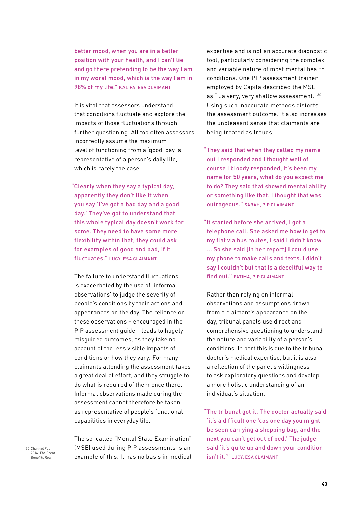better mood, when you are in a better position with your health, and I can't lie and go there pretending to be the way I am in my worst mood, which is the way I am in 98% of my life." KALIFA, ESA CLAIMANT

It is vital that assessors understand that conditions fluctuate and explore the impacts of those fluctuations through further questioning. All too often assessors incorrectly assume the maximum level of functioning from a 'good' day is representative of a person's daily life, which is rarely the case.

"Clearly when they say a typical day, apparently they don't like it when you say 'I've got a bad day and a good day.' They've got to understand that this whole typical day doesn't work for some. They need to have some more flexibility within that, they could ask for examples of good and bad, if it fluctuates." LUCY, ESA CLAIMANT

The failure to understand fluctuations is exacerbated by the use of 'informal observations' to judge the severity of people's conditions by their actions and appearances on the day. The reliance on these observations – encouraged in the PIP assessment quide - leads to hugely misguided outcomes, as they take no account of the less visible impacts of conditions or how they vary. For many claimants attending the assessment takes a great deal of effort, and they struggle to do what is required of them once there. Informal observations made during the assessment cannot therefore be taken as representative of people's functional capabilities in everyday life.

The so-called "Mental State Examination" (MSE) used during PIP assessments is an example of this. It has no basis in medical expertise and is not an accurate diagnostic tool, particularly considering the complex and variable nature of most mental health conditions. One PIP assessment trainer employed by Capita described the MSE as "…a very, very shallow assessment."30 Using such inaccurate methods distorts the assessment outcome. It also increases the unpleasant sense that claimants are being treated as frauds.

"They said that when they called my name out I responded and I thought well of course I bloody responded, it's been my name for 50 years, what do you expect me to do? They said that showed mental ability or something like that. I thought that was outrageous." SARAH, PIP CLAIMANT

"It started before she arrived, I got a telephone call. She asked me how to get to my flat via bus routes, I said I didn't know ... So she said [in her report] I could use my phone to make calls and texts. I didn't say I couldn't but that is a deceitful way to find out." FATIMA, PIP CLAIMANT

Rather than relying on informal observations and assumptions drawn from a claimant's appearance on the day, tribunal panels use direct and comprehensive questioning to understand the nature and variability of a person's conditions. In part this is due to the tribunal doctor's medical expertise, but it is also a reflection of the panel's willingness to ask exploratory questions and develop a more holistic understanding of an individual's situation.

"The tribunal got it. The doctor actually said 'it's a difficult one 'cos one day you might be seen carrying a shopping bag, and the next you can't get out of bed.' The judge said 'it's quite up and down your condition isn't it.'" LUCY, ESA CLAIMANT

30 Channel Four 2016 The Great Benefits Row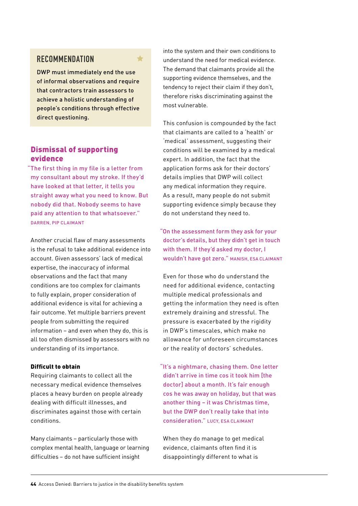#### **RECOMMENDATION**

DWP must immediately end the use of informal observations and require that contractors train assessors to achieve a holistic understanding of people's conditions through effective direct questioning.

#### Dismissal of supporting evidence

"The first thing in my file is a letter from my consultant about my stroke. If they'd have looked at that letter, it tells you straight away what you need to know. But nobody did that. Nobody seems to have paid any attention to that whatsoever." DARREN, PIP CLAIMANT

Another crucial flaw of many assessments is the refusal to take additional evidence into account. Given assessors' lack of medical expertise, the inaccuracy of informal observations and the fact that many conditions are too complex for claimants to fully explain, proper consideration of additional evidence is vital for achieving a fair outcome. Yet multiple barriers prevent people from submitting the required information – and even when they do, this is all too often dismissed by assessors with no understanding of its importance.

#### Difficult to obtain

Requiring claimants to collect all the necessary medical evidence themselves places a heavy burden on people already dealing with difficult illnesses, and discriminates against those with certain conditions.

Many claimants – particularly those with complex mental health, language or learning difficulties – do not have sufficient insight

into the system and their own conditions to understand the need for medical evidence. The demand that claimants provide all the supporting evidence themselves, and the tendency to reject their claim if they don't, therefore risks discriminating against the most vulnerable.

This confusion is compounded by the fact that claimants are called to a 'health' or 'medical' assessment, suggesting their conditions will be examined by a medical expert. In addition, the fact that the application forms ask for their doctors' details implies that DWP will collect any medical information they require. As a result, many people do not submit supporting evidence simply because they do not understand they need to.

"On the assessment form they ask for your doctor's details, but they didn't get in touch with them. If they'd asked my doctor, I wouldn't have got zero." MANISH, ESA CLAIMANT

Even for those who do understand the need for additional evidence, contacting multiple medical professionals and getting the information they need is often extremely draining and stressful. The pressure is exacerbated by the rigidity in DWP's timescales, which make no allowance for unforeseen circumstances or the reality of doctors' schedules.

"It's a nightmare, chasing them. One letter didn't arrive in time cos it took him [the doctor] about a month. It's fair enough cos he was away on holiday, but that was another thing – it was Christmas time, but the DWP don't really take that into consideration." LUCY, ESA CLAIMANT

When they do manage to get medical evidence, claimants often find it is disappointingly different to what is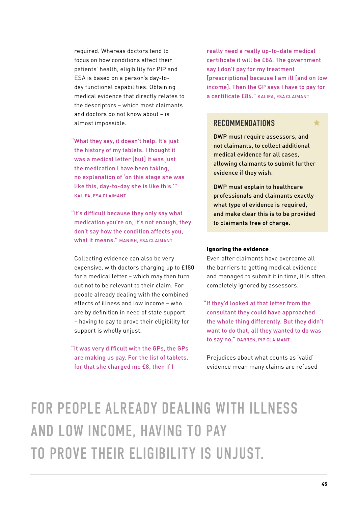required. Whereas doctors tend to focus on how conditions affect their patients' health, eligibility for PIP and ESA is based on a person's day-today functional capabilities. Obtaining medical evidence that directly relates to the descriptors – which most claimants and doctors do not know about – is almost impossible.

"What they say, it doesn't help. It's just the history of my tablets. I thought it was a medical letter [but] it was just the medication I have been taking, no explanation of 'on this stage she was like this, day-to-day she is like this.'" KALIFA, ESA CLAIMANT

"It's difficult because they only say what medication you're on, it's not enough, they don't say how the condition affects you, what it means." MANISH, ESA CLAIMANT

Collecting evidence can also be very expensive, with doctors charging up to £180 for a medical letter – which may then turn out not to be relevant to their claim. For people already dealing with the combined effects of illness and low income – who are by definition in need of state support – having to pay to prove their eligibility for support is wholly unjust.

"It was very difficult with the GPs, the GPs are making us pay. For the list of tablets, for that she charged me £8, then if I

really need a really up-to-date medical certificate it will be £86. The government say I don't pay for my treatment [prescriptions] because I am ill [and on low income]. Then the GP says I have to pay for a certificate £86." KALIFA, ESA CLAIMANT

#### **RECOMMENDATIONS**

DWP must require assessors, and not claimants, to collect additional medical evidence for all cases, allowing claimants to submit further evidence if they wish.

DWP must explain to healthcare professionals and claimants exactly what type of evidence is required, and make clear this is to be provided to claimants free of charge.

#### Ignoring the evidence

Even after claimants have overcome all the barriers to getting medical evidence and managed to submit it in time, it is often completely ignored by assessors.

"If they'd looked at that letter from the consultant they could have approached the whole thing differently. But they didn't want to do that, all they wanted to do was to say no." DARREN, PIP CLAIMANT

Prejudices about what counts as 'valid' evidence mean many claims are refused

FOR PEOPLE ALREADY DEALING WITH ILLNESS AND LOW INCOME, HAVING TO PAY TO PROVE THEIR ELIGIBILITY IS UNJUST.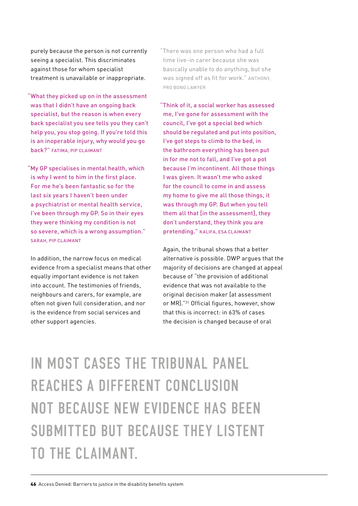purely because the person is not currently seeing a specialist. This discriminates against those for whom specialist treatment is unavailable or inappropriate.

"What they picked up on in the assessment was that I didn't have an ongoing back specialist, but the reason is when every back specialist you see tells you they can't help you, you stop going. If you're told this is an inoperable injury, why would you go back?" FATIMA, PIP CLAIMANT

"My GP specialises in mental health, which is why I went to him in the first place. For me he's been fantastic so for the last six years I haven't been under a psychiatrist or mental health service, I've been through my GP. So in their eyes they were thinking my condition is not so severe, which is a wrong assumption." SARAH, PIP CLAIMANT

In addition, the narrow focus on medical evidence from a specialist means that other equally important evidence is not taken into account. The testimonies of friends, neighbours and carers, for example, are often not given full consideration, and nor is the evidence from social services and other support agencies.

"There was one person who had a full time live-in carer because she was basically unable to do anything, but she was signed off as fit for work." ANTHONY, PRO BONO LAWYER

"Think of it, a social worker has assessed me, I've gone for assessment with the council, I've got a special bed which should be regulated and put into position, I've got steps to climb to the bed, in the bathroom everything has been put in for me not to fall, and I've got a pot because I'm incontinent. All those things I was given. It wasn't me who asked for the council to come in and assess my home to give me all those things, it was through my GP. But when you tell them all that [in the assessment], they don't understand, they think you are pretending." KALIFA, ESA CLAIMANT

Again, the tribunal shows that a better alternative is possible. DWP argues that the majority of decisions are changed at appeal because of "the provision of additional evidence that was not available to the original decision maker [at assessment or MR]."31 Official figures, however, show that this is incorrect: in 63% of cases the decision is changed because of oral

IN MOST CASES THE TRIBUNAL PANEL REACHES A DIFFERENT CONCLUSION NOT BECAUSE NEW EVIDENCE HAS BEEN SUBMITTED BUT BECAUSE THEY LISTENT TO THE CLAIMANT.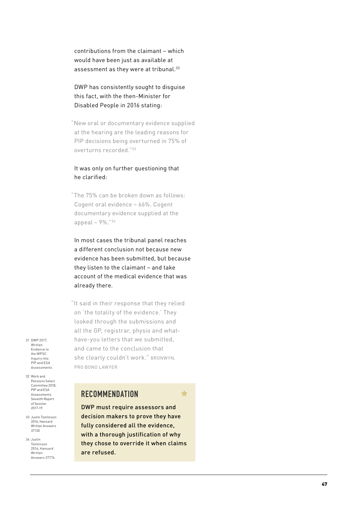contributions from the claimant – which would have been just as available at assessment as they were at tribunal.<sup>32</sup>

#### DWP has consistently sought to disguise this fact, with the then-Minister for Disabled People in 2016 stating:

"New oral or documentary evidence supplied at the hearing are the leading reasons for PIP decisions being overturned in 75% of overturns recorded."33

#### It was only on further questioning that he clarified:

"The 75% can be broken down as follows: Cogent oral evidence – 66%. Cogent documentary evidence supplied at the appeal – 9%."34

In most cases the tribunal panel reaches a different conclusion not because new evidence has been submitted, but because they listen to the claimant – and take account of the medical evidence that was already there.

"It said in their response that they relied on 'the totality of the evidence.' They looked through the submissions and all the GP, registrar, physio and whathave-you letters that we submitted, and came to the conclusion that she clearly couldn't work." BRONWYN, PRO BONO LAWYER

Evidence to the WPSC Inquiry into PIP and ESA Assessments 32 Work and Pensions Select

31 DWP 2017, Written

Committee 2018, PIP and ESA Assessments Seventh Report of Session 2017-19

33 Justin Tomlinson 2016, Hansard Written Answers 37130

34 Justin Tomlinson 2016, Hansard Written Answers 37774

### **RECOMMENDATION**

DWP must require assessors and decision makers to prove they have fully considered all the evidence, with a thorough justification of why they chose to override it when claims are refused.

 $\blacklozenge$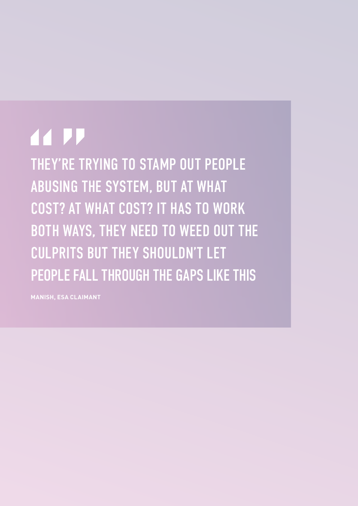## **44 PP**

THEY'RE TRYING TO STAMP OUT PEOPLE ABUSING THE SYSTEM, BUT AT WHAT COST? AT WHAT COST? IT HAS TO WORK BOTH WAYS, THEY NEED TO WEED OUT THE CULPRITS BUT THEY SHOULDN'T LET PEOPLE FALL THROUGH THE GAPS LIKE THIS

**MANISH, ESA CLAIMANT**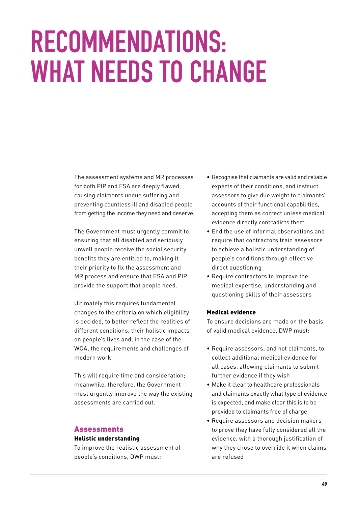## **RECOMMENDATIONS: WHAT NEEDS TO CHANGE**

The assessment systems and MR processes for both PIP and ESA are deeply flawed, causing claimants undue suffering and preventing countless ill and disabled people from getting the income they need and deserve.

The Government must urgently commit to ensuring that all disabled and seriously unwell people receive the social security benefits they are entitled to, making it their priority to fix the assessment and MR process and ensure that ESA and PIP provide the support that people need.

Ultimately this requires fundamental changes to the criteria on which eligibility is decided, to better reflect the realities of different conditions, their holistic impacts on people's lives and, in the case of the WCA, the requirements and challenges of modern work.

This will require time and consideration; meanwhile, therefore, the Government must urgently improve the way the existing assessments are carried out.

#### Assessments

#### Holistic understanding

To improve the realistic assessment of people's conditions, DWP must:

- Recognise that claimants are valid and reliable experts of their conditions, and instruct assessors to give due weight to claimants' accounts of their functional capabilities, accepting them as correct unless medical evidence directly contradicts them
- End the use of informal observations and require that contractors train assessors to achieve a holistic understanding of people's conditions through effective direct questioning
- Require contractors to improve the medical expertise, understanding and questioning skills of their assessors

#### Medical evidence

To ensure decisions are made on the basis of valid medical evidence, DWP must:

- Require assessors, and not claimants, to collect additional medical evidence for all cases, allowing claimants to submit further evidence if they wish
- Make it clear to healthcare professionals and claimants exactly what type of evidence is expected, and make clear this is to be provided to claimants free of charge
- Require assessors and decision makers to prove they have fully considered all the evidence, with a thorough justification of why they chose to override it when claims are refused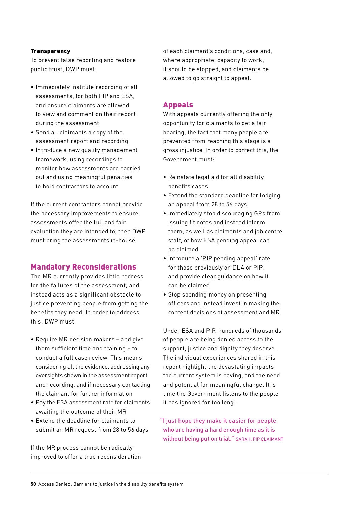#### **Transparency**

To prevent false reporting and restore public trust, DWP must:

- Immediately institute recording of all assessments, for both PIP and ESA, and ensure claimants are allowed to view and comment on their report during the assessment
- Send all claimants a copy of the assessment report and recording
- Introduce a new quality management framework, using recordings to monitor how assessments are carried out and using meaningful penalties to hold contractors to account

If the current contractors cannot provide the necessary improvements to ensure assessments offer the full and fair evaluation they are intended to, then DWP must bring the assessments in-house.

#### Mandatory Reconsiderations

The MR currently provides little redress for the failures of the assessment, and instead acts as a significant obstacle to justice preventing people from getting the benefits they need. In order to address this, DWP must:

- Require MR decision makers and give them sufficient time and training – to conduct a full case review. This means considering all the evidence, addressing any oversights shown in the assessment report and recording, and if necessary contacting the claimant for further information
- Pay the ESA assessment rate for claimants awaiting the outcome of their MR
- Extend the deadline for claimants to submit an MR request from 28 to 56 days

If the MR process cannot be radically improved to offer a true reconsideration

of each claimant's conditions, case and, where appropriate, capacity to work, it should be stopped, and claimants be allowed to go straight to appeal.

#### Appeals

With appeals currently offering the only opportunity for claimants to get a fair hearing, the fact that many people are prevented from reaching this stage is a gross injustice. In order to correct this, the Government must:

- Reinstate legal aid for all disability benefits cases
- Extend the standard deadline for lodging an appeal from 28 to 56 days
- Immediately stop discouraging GPs from issuing fit notes and instead inform them, as well as claimants and job centre staff, of how ESA pending appeal can be claimed
- Introduce a 'PIP pending appeal' rate for those previously on DLA or PIP, and provide clear guidance on how it can be claimed
- Stop spending money on presenting officers and instead invest in making the correct decisions at assessment and MR

Under ESA and PIP, hundreds of thousands of people are being denied access to the support, justice and dignity they deserve. The individual experiences shared in this report highlight the devastating impacts the current system is having, and the need and potential for meaningful change. It is time the Government listens to the people it has ignored for too long.

"I just hope they make it easier for people who are having a hard enough time as it is without being put on trial." SARAH, PIP CLAIMANT